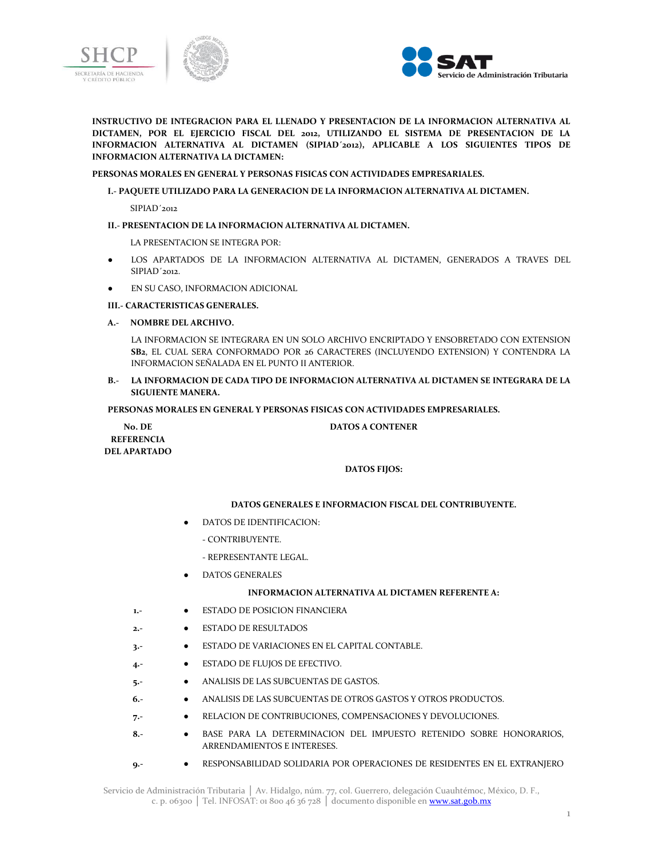



**INSTRUCTIVO DE INTEGRACION PARA EL LLENADO Y PRESENTACION DE LA INFORMACION ALTERNATIVA AL DICTAMEN, POR EL EJERCICIO FISCAL DEL 2012, UTILIZANDO EL SISTEMA DE PRESENTACION DE LA INFORMACION ALTERNATIVA AL DICTAMEN (SIPIAD´2012), APLICABLE A LOS SIGUIENTES TIPOS DE INFORMACION ALTERNATIVA LA DICTAMEN:**

#### **PERSONAS MORALES EN GENERAL Y PERSONAS FISICAS CON ACTIVIDADES EMPRESARIALES.**

#### **I.- PAQUETE UTILIZADO PARA LA GENERACION DE LA INFORMACION ALTERNATIVA AL DICTAMEN.**

SIPIAD´2012

### **II.- PRESENTACION DE LA INFORMACION ALTERNATIVA AL DICTAMEN.**

LA PRESENTACION SE INTEGRA POR:

- LOS APARTADOS DE LA INFORMACION ALTERNATIVA AL DICTAMEN, GENERADOS A TRAVES DEL SIPIAD´2012.
- EN SU CASO, INFORMACION ADICIONAL

#### **III.- CARACTERISTICAS GENERALES.**

### **A.- NOMBRE DEL ARCHIVO.**

LA INFORMACION SE INTEGRARA EN UN SOLO ARCHIVO ENCRIPTADO Y ENSOBRETADO CON EXTENSION **SB2**, EL CUAL SERA CONFORMADO POR 26 CARACTERES (INCLUYENDO EXTENSION) Y CONTENDRA LA INFORMACION SEÑALADA EN EL PUNTO II ANTERIOR.

# **B.- LA INFORMACION DE CADA TIPO DE INFORMACION ALTERNATIVA AL DICTAMEN SE INTEGRARA DE LA SIGUIENTE MANERA.**

### **PERSONAS MORALES EN GENERAL Y PERSONAS FISICAS CON ACTIVIDADES EMPRESARIALES.**

**No. DE REFERENCIA DEL APARTADO**

# **DATOS A CONTENER**

# **DATOS FIJOS:**

# **DATOS GENERALES E INFORMACION FISCAL DEL CONTRIBUYENTE.**

- DATOS DE IDENTIFICACION:
	- CONTRIBUYENTE.
	- REPRESENTANTE LEGAL.
- DATOS GENERALES

# **INFORMACION ALTERNATIVA AL DICTAMEN REFERENTE A:**

- **1.-** ESTADO DE POSICION FINANCIERA
- **2.-** ESTADO DE RESULTADOS
- **3.-** ESTADO DE VARIACIONES EN EL CAPITAL CONTABLE.
- **4.-** ESTADO DE FLUJOS DE EFECTIVO.
- **5.-** ANALISIS DE LAS SUBCUENTAS DE GASTOS.
- **6.-** ANALISIS DE LAS SUBCUENTAS DE OTROS GASTOS Y OTROS PRODUCTOS.
- **7.-** RELACION DE CONTRIBUCIONES, COMPENSACIONES Y DEVOLUCIONES.
- **8.-** BASE PARA LA DETERMINACION DEL IMPUESTO RETENIDO SOBRE HONORARIOS, ARRENDAMIENTOS E INTERESES.
- **9.-** RESPONSABILIDAD SOLIDARIA POR OPERACIONES DE RESIDENTES EN EL EXTRANJERO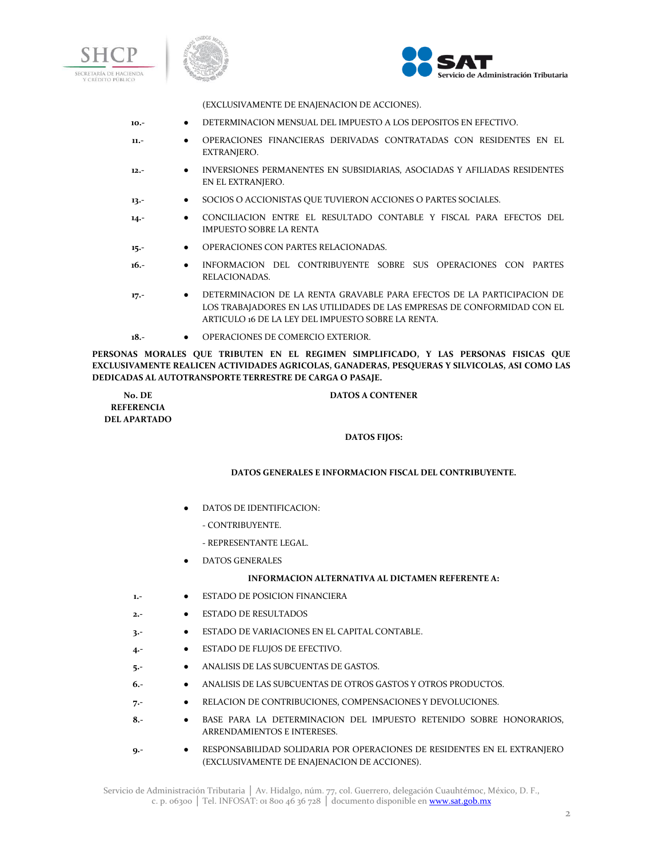





(EXCLUSIVAMENTE DE ENAJENACION DE ACCIONES).

- **10.-** DETERMINACION MENSUAL DEL IMPUESTO A LOS DEPOSITOS EN EFECTIVO.
- **11.-** OPERACIONES FINANCIERAS DERIVADAS CONTRATADAS CON RESIDENTES EN EL EXTRANJERO.
- **12.-** INVERSIONES PERMANENTES EN SUBSIDIARIAS, ASOCIADAS Y AFILIADAS RESIDENTES EN EL EXTRANJERO.
- **13.-** SOCIOS O ACCIONISTAS QUE TUVIERON ACCIONES O PARTES SOCIALES.
- **14.-** CONCILIACION ENTRE EL RESULTADO CONTABLE Y FISCAL PARA EFECTOS DEL IMPUESTO SOBRE LA RENTA
- 15.- **•** OPERACIONES CON PARTES RELACIONADAS.
- **16.-** INFORMACION DEL CONTRIBUYENTE SOBRE SUS OPERACIONES CON PARTES RELACIONADAS.
- **17.-** DETERMINACION DE LA RENTA GRAVABLE PARA EFECTOS DE LA PARTICIPACION DE LOS TRABAJADORES EN LAS UTILIDADES DE LAS EMPRESAS DE CONFORMIDAD CON EL ARTICULO 16 DE LA LEY DEL IMPUESTO SOBRE LA RENTA.
- **18.-** OPERACIONES DE COMERCIO EXTERIOR.

**PERSONAS MORALES QUE TRIBUTEN EN EL REGIMEN SIMPLIFICADO, Y LAS PERSONAS FISICAS QUE EXCLUSIVAMENTE REALICEN ACTIVIDADES AGRICOLAS, GANADERAS, PESQUERAS Y SILVICOLAS, ASI COMO LAS DEDICADAS AL AUTOTRANSPORTE TERRESTRE DE CARGA O PASAJE.**

**No. DE REFERENCIA DEL APARTADO**

#### **DATOS A CONTENER**

# **DATOS FIJOS:**

#### **DATOS GENERALES E INFORMACION FISCAL DEL CONTRIBUYENTE.**

- DATOS DE IDENTIFICACION:
	- CONTRIBUYENTE.
	- REPRESENTANTE LEGAL.
- DATOS GENERALES

# **INFORMACION ALTERNATIVA AL DICTAMEN REFERENTE A:**

- **1.-** ESTADO DE POSICION FINANCIERA
- **2.-** ESTADO DE RESULTADOS
- **3.-** ESTADO DE VARIACIONES EN EL CAPITAL CONTABLE.
- **4.-** ESTADO DE FLUJOS DE EFECTIVO.
- **5.-** ANALISIS DE LAS SUBCUENTAS DE GASTOS.
- **6.-** ANALISIS DE LAS SUBCUENTAS DE OTROS GASTOS Y OTROS PRODUCTOS.
- **7.-** RELACION DE CONTRIBUCIONES, COMPENSACIONES Y DEVOLUCIONES.
- **8.-** BASE PARA LA DETERMINACION DEL IMPUESTO RETENIDO SOBRE HONORARIOS, ARRENDAMIENTOS E INTERESES.
- **9.-** RESPONSABILIDAD SOLIDARIA POR OPERACIONES DE RESIDENTES EN EL EXTRANJERO (EXCLUSIVAMENTE DE ENAJENACION DE ACCIONES).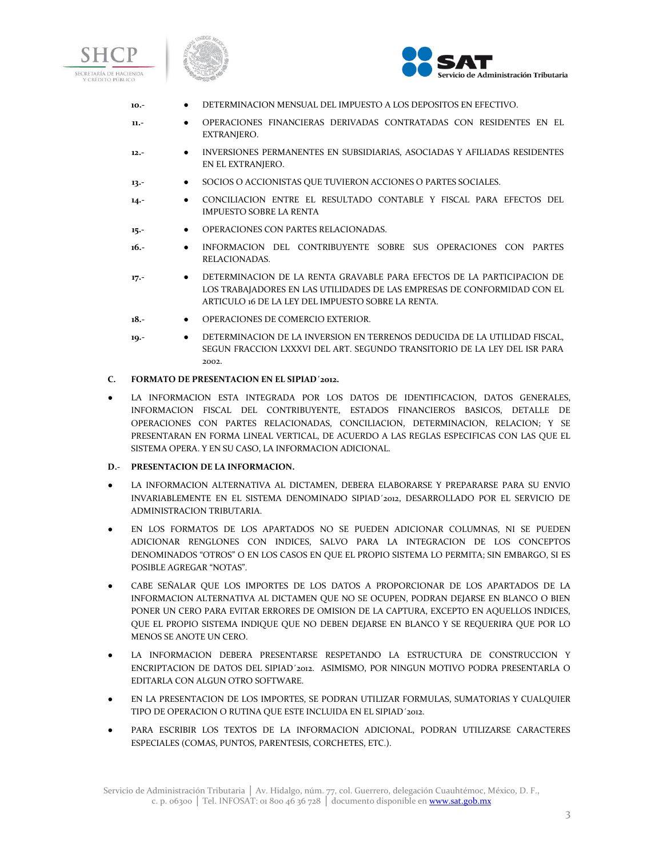





- **10.-** DETERMINACION MENSUAL DEL IMPUESTO A LOS DEPOSITOS EN EFECTIVO.
- **11.-** OPERACIONES FINANCIERAS DERIVADAS CONTRATADAS CON RESIDENTES EN EL EXTRANJERO.
- **12.-** INVERSIONES PERMANENTES EN SUBSIDIARIAS, ASOCIADAS Y AFILIADAS RESIDENTES EN EL EXTRANJERO.
- **13.-** SOCIOS O ACCIONISTAS QUE TUVIERON ACCIONES O PARTES SOCIALES.
- **14.-** CONCILIACION ENTRE EL RESULTADO CONTABLE Y FISCAL PARA EFECTOS DEL IMPUESTO SOBRE LA RENTA
- **15.-** OPERACIONES CON PARTES RELACIONADAS.
- **16.-** INFORMACION DEL CONTRIBUYENTE SOBRE SUS OPERACIONES CON PARTES RELACIONADAS.
- **17.-** DETERMINACION DE LA RENTA GRAVABLE PARA EFECTOS DE LA PARTICIPACION DE LOS TRABAJADORES EN LAS UTILIDADES DE LAS EMPRESAS DE CONFORMIDAD CON EL ARTICULO 16 DE LA LEY DEL IMPUESTO SOBRE LA RENTA.
- 18.- **•** OPERACIONES DE COMERCIO EXTERIOR.
- **19.-** DETERMINACION DE LA INVERSION EN TERRENOS DEDUCIDA DE LA UTILIDAD FISCAL, SEGUN FRACCION LXXXVI DEL ART. SEGUNDO TRANSITORIO DE LA LEY DEL ISR PARA 2002.

# **C. FORMATO DE PRESENTACION EN EL SIPIAD´2012.**

LA INFORMACION ESTA INTEGRADA POR LOS DATOS DE IDENTIFICACION, DATOS GENERALES, INFORMACION FISCAL DEL CONTRIBUYENTE, ESTADOS FINANCIEROS BASICOS, DETALLE DE OPERACIONES CON PARTES RELACIONADAS, CONCILIACION, DETERMINACION, RELACION; Y SE PRESENTARAN EN FORMA LINEAL VERTICAL, DE ACUERDO A LAS REGLAS ESPECIFICAS CON LAS QUE EL SISTEMA OPERA. Y EN SU CASO, LA INFORMACION ADICIONAL.

# **D.- PRESENTACION DE LA INFORMACION.**

- LA INFORMACION ALTERNATIVA AL DICTAMEN, DEBERA ELABORARSE Y PREPARARSE PARA SU ENVIO INVARIABLEMENTE EN EL SISTEMA DENOMINADO SIPIAD´2012, DESARROLLADO POR EL SERVICIO DE ADMINISTRACION TRIBUTARIA.
- EN LOS FORMATOS DE LOS APARTADOS NO SE PUEDEN ADICIONAR COLUMNAS, NI SE PUEDEN ADICIONAR RENGLONES CON INDICES, SALVO PARA LA INTEGRACION DE LOS CONCEPTOS DENOMINADOS "OTROS" O EN LOS CASOS EN QUE EL PROPIO SISTEMA LO PERMITA; SIN EMBARGO, SI ES POSIBLE AGREGAR "NOTAS".
- CABE SEÑALAR QUE LOS IMPORTES DE LOS DATOS A PROPORCIONAR DE LOS APARTADOS DE LA INFORMACION ALTERNATIVA AL DICTAMEN QUE NO SE OCUPEN, PODRAN DEJARSE EN BLANCO O BIEN PONER UN CERO PARA EVITAR ERRORES DE OMISION DE LA CAPTURA, EXCEPTO EN AQUELLOS INDICES, QUE EL PROPIO SISTEMA INDIQUE QUE NO DEBEN DEJARSE EN BLANCO Y SE REQUERIRA QUE POR LO MENOS SE ANOTE UN CERO.
- LA INFORMACION DEBERA PRESENTARSE RESPETANDO LA ESTRUCTURA DE CONSTRUCCION Y ENCRIPTACION DE DATOS DEL SIPIAD´2012. ASIMISMO, POR NINGUN MOTIVO PODRA PRESENTARLA O EDITARLA CON ALGUN OTRO SOFTWARE.
- EN LA PRESENTACION DE LOS IMPORTES, SE PODRAN UTILIZAR FORMULAS, SUMATORIAS Y CUALQUIER TIPO DE OPERACION O RUTINA QUE ESTE INCLUIDA EN EL SIPIAD´2012.
- PARA ESCRIBIR LOS TEXTOS DE LA INFORMACION ADICIONAL, PODRAN UTILIZARSE CARACTERES ESPECIALES (COMAS, PUNTOS, PARENTESIS, CORCHETES, ETC.).

Servicio de Administración Tributaria │ Av. Hidalgo, núm. 77, col. Guerrero, delegación Cuauhtémoc, México, D. F., c. p. 06300 | Tel. INFOSAT: 01 800 46 36 728 | documento disponible en **www.sat.gob.mx**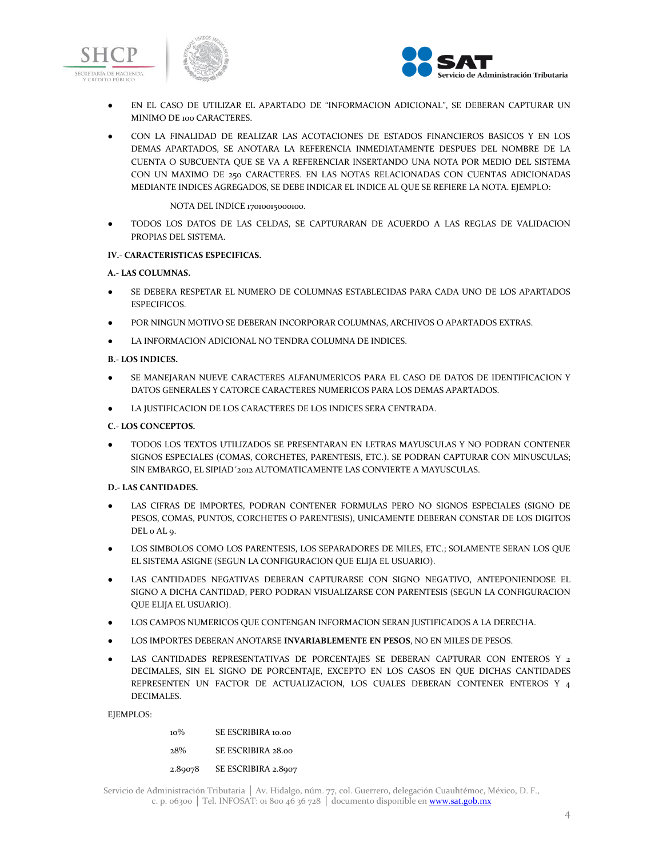





- EN EL CASO DE UTILIZAR EL APARTADO DE "INFORMACION ADICIONAL", SE DEBERAN CAPTURAR UN MINIMO DE 100 CARACTERES.
- CON LA FINALIDAD DE REALIZAR LAS ACOTACIONES DE ESTADOS FINANCIEROS BASICOS Y EN LOS DEMAS APARTADOS, SE ANOTARA LA REFERENCIA INMEDIATAMENTE DESPUES DEL NOMBRE DE LA CUENTA O SUBCUENTA QUE SE VA A REFERENCIAR INSERTANDO UNA NOTA POR MEDIO DEL SISTEMA CON UN MAXIMO DE 250 CARACTERES. EN LAS NOTAS RELACIONADAS CON CUENTAS ADICIONADAS MEDIANTE INDICES AGREGADOS, SE DEBE INDICAR EL INDICE AL QUE SE REFIERE LA NOTA. EJEMPLO:

### NOTA DEL INDICE 17010015000100.

● TODOS LOS DATOS DE LAS CELDAS, SE CAPTURARAN DE ACUERDO A LAS REGLAS DE VALIDACION PROPIAS DEL SISTEMA.

# **IV.- CARACTERISTICAS ESPECIFICAS.**

### **A.- LAS COLUMNAS.**

- SE DEBERA RESPETAR EL NUMERO DE COLUMNAS ESTABLECIDAS PARA CADA UNO DE LOS APARTADOS ESPECIFICOS.
- POR NINGUN MOTIVO SE DEBERAN INCORPORAR COLUMNAS, ARCHIVOS O APARTADOS EXTRAS.
- LA INFORMACION ADICIONAL NO TENDRA COLUMNA DE INDICES.

### **B.- LOS INDICES.**

- SE MANEJARAN NUEVE CARACTERES ALFANUMERICOS PARA EL CASO DE DATOS DE IDENTIFICACION Y DATOS GENERALES Y CATORCE CARACTERES NUMERICOS PARA LOS DEMAS APARTADOS.
- LA JUSTIFICACION DE LOS CARACTERES DE LOS INDICES SERA CENTRADA.

# **C.- LOS CONCEPTOS.**

● TODOS LOS TEXTOS UTILIZADOS SE PRESENTARAN EN LETRAS MAYUSCULAS Y NO PODRAN CONTENER SIGNOS ESPECIALES (COMAS, CORCHETES, PARENTESIS, ETC.). SE PODRAN CAPTURAR CON MINUSCULAS; SIN EMBARGO, EL SIPIAD´2012 AUTOMATICAMENTE LAS CONVIERTE A MAYUSCULAS.

# **D.- LAS CANTIDADES.**

- LAS CIFRAS DE IMPORTES, PODRAN CONTENER FORMULAS PERO NO SIGNOS ESPECIALES (SIGNO DE PESOS, COMAS, PUNTOS, CORCHETES O PARENTESIS), UNICAMENTE DEBERAN CONSTAR DE LOS DIGITOS DEL 0 AL 9.
- LOS SIMBOLOS COMO LOS PARENTESIS, LOS SEPARADORES DE MILES, ETC.; SOLAMENTE SERAN LOS QUE EL SISTEMA ASIGNE (SEGUN LA CONFIGURACION QUE ELIJA EL USUARIO).
- LAS CANTIDADES NEGATIVAS DEBERAN CAPTURARSE CON SIGNO NEGATIVO, ANTEPONIENDOSE EL SIGNO A DICHA CANTIDAD, PERO PODRAN VISUALIZARSE CON PARENTESIS (SEGUN LA CONFIGURACION QUE ELIJA EL USUARIO).
- LOS CAMPOS NUMERICOS QUE CONTENGAN INFORMACION SERAN JUSTIFICADOS A LA DERECHA.
- LOS IMPORTES DEBERAN ANOTARSE **INVARIABLEMENTE EN PESOS**, NO EN MILES DE PESOS.
- LAS CANTIDADES REPRESENTATIVAS DE PORCENTAJES SE DEBERAN CAPTURAR CON ENTEROS Y 2 DECIMALES, SIN EL SIGNO DE PORCENTAJE, EXCEPTO EN LOS CASOS EN QUE DICHAS CANTIDADES REPRESENTEN UN FACTOR DE ACTUALIZACION, LOS CUALES DEBERAN CONTENER ENTEROS Y 4 DECIMALES.

EJEMPLOS:

10% SE ESCRIBIRA 10.00 28% SE ESCRIBIRA 28.00 2.89078 SE ESCRIBIRA 2.8907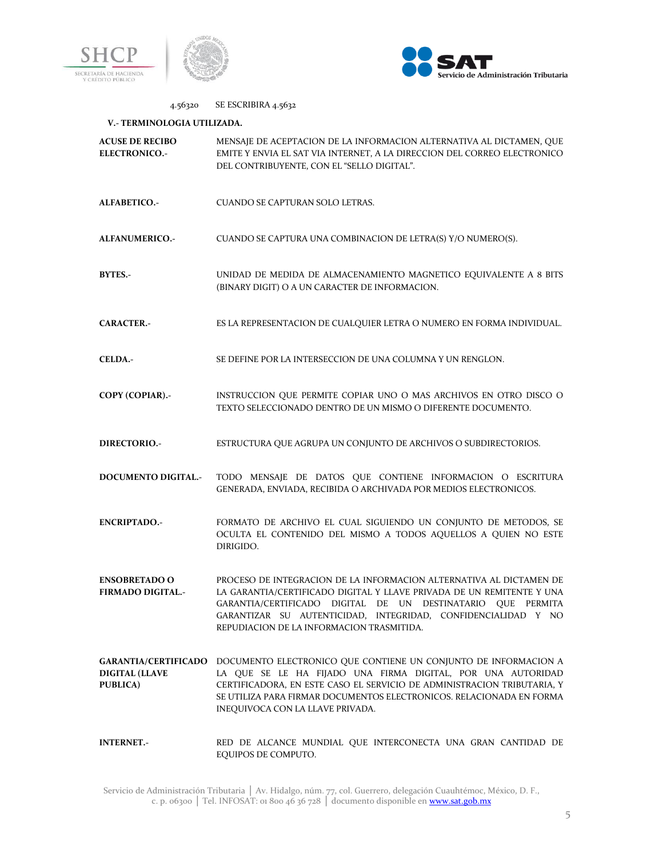



# 4.56320 SE ESCRIBIRA 4.5632 **V.- TERMINOLOGIA UTILIZADA. ACUSE DE RECIBO ELECTRONICO.-** MENSAJE DE ACEPTACION DE LA INFORMACION ALTERNATIVA AL DICTAMEN, QUE EMITE Y ENVIA EL SAT VIA INTERNET, A LA DIRECCION DEL CORREO ELECTRONICO DEL CONTRIBUYENTE, CON EL "SELLO DIGITAL". **ALFABETICO.-** CUANDO SE CAPTURAN SOLO LETRAS. **ALFANUMERICO.-** CUANDO SE CAPTURA UNA COMBINACION DE LETRA(S) Y/O NUMERO(S). **BYTES.-** UNIDAD DE MEDIDA DE ALMACENAMIENTO MAGNETICO EQUIVALENTE A 8 BITS (BINARY DIGIT) O A UN CARACTER DE INFORMACION. **CARACTER.-** ES LA REPRESENTACION DE CUALQUIER LETRA O NUMERO EN FORMA INDIVIDUAL. **CELDA.-** SE DEFINE POR LA INTERSECCION DE UNA COLUMNA Y UN RENGLON. **COPY (COPIAR).-** INSTRUCCION QUE PERMITE COPIAR UNO O MAS ARCHIVOS EN OTRO DISCO O TEXTO SELECCIONADO DENTRO DE UN MISMO O DIFERENTE DOCUMENTO. **DIRECTORIO.-** ESTRUCTURA QUE AGRUPA UN CONJUNTO DE ARCHIVOS O SUBDIRECTORIOS. **DOCUMENTO DIGITAL.-** TODO MENSAJE DE DATOS QUE CONTIENE INFORMACION O ESCRITURA GENERADA, ENVIADA, RECIBIDA O ARCHIVADA POR MEDIOS ELECTRONICOS. **ENCRIPTADO.-** FORMATO DE ARCHIVO EL CUAL SIGUIENDO UN CONJUNTO DE METODOS, SE OCULTA EL CONTENIDO DEL MISMO A TODOS AQUELLOS A QUIEN NO ESTE DIRIGIDO. **ENSOBRETADO O FIRMADO DIGITAL.-** PROCESO DE INTEGRACION DE LA INFORMACION ALTERNATIVA AL DICTAMEN DE LA GARANTIA/CERTIFICADO DIGITAL Y LLAVE PRIVADA DE UN REMITENTE Y UNA GARANTIA/CERTIFICADO DIGITAL DE UN DESTINATARIO QUE PERMITA GARANTIZAR SU AUTENTICIDAD, INTEGRIDAD, CONFIDENCIALIDAD Y NO REPUDIACION DE LA INFORMACION TRASMITIDA. **GARANTIA/CERTIFICADO**  DOCUMENTO ELECTRONICO QUE CONTIENE UN CONJUNTO DE INFORMACION A **DIGITAL (LLAVE PUBLICA)** LA QUE SE LE HA FIJADO UNA FIRMA DIGITAL, POR UNA AUTORIDAD CERTIFICADORA, EN ESTE CASO EL SERVICIO DE ADMINISTRACION TRIBUTARIA, Y SE UTILIZA PARA FIRMAR DOCUMENTOS ELECTRONICOS. RELACIONADA EN FORMA INEQUIVOCA CON LA LLAVE PRIVADA. **INTERNET.-** RED DE ALCANCE MUNDIAL QUE INTERCONECTA UNA GRAN CANTIDAD DE EQUIPOS DE COMPUTO.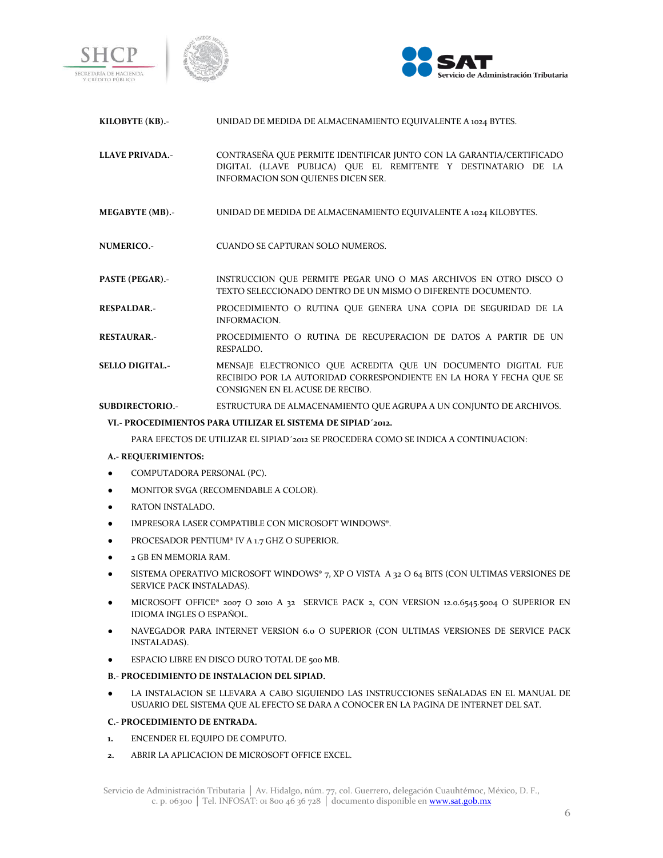





| KILOBYTE (KB).- | UNIDAD DE MEDIDA DE ALMAÇENAMIENTO EQUIVALENTE A 1024 BYTES. |
|-----------------|--------------------------------------------------------------|
|                 |                                                              |
|                 |                                                              |
|                 |                                                              |

**KILOBYTE (KB).-** UNIDAD DE MEDIDA DE ALMACENAMIENTO EQUIVALENTE A 1024 BYTES.

**LLAVE PRIVADA.-** CONTRASEÑA QUE PERMITE IDENTIFICAR JUNTO CON LA GARANTIA/CERTIFICADO DIGITAL (LLAVE PUBLICA) QUE EL REMITENTE Y DESTINATARIO DE LA INFORMACION SON QUIENES DICEN SER.

**MEGABYTE (MB).-** UNIDAD DE MEDIDA DE ALMACENAMIENTO EQUIVALENTE A 1024 KILOBYTES.

**NUMERICO.-** CUANDO SE CAPTURAN SOLO NUMEROS.

**PASTE (PEGAR).-** INSTRUCCION QUE PERMITE PEGAR UNO O MAS ARCHIVOS EN OTRO DISCO O TEXTO SELECCIONADO DENTRO DE UN MISMO O DIFERENTE DOCUMENTO.

**RESPALDAR.-** PROCEDIMIENTO O RUTINA QUE GENERA UNA COPIA DE SEGURIDAD DE LA INFORMACION.

- **RESTAURAR.-** PROCEDIMIENTO O RUTINA DE RECUPERACION DE DATOS A PARTIR DE UN RESPALDO.
- **SELLO DIGITAL.-** MENSAJE ELECTRONICO QUE ACREDITA QUE UN DOCUMENTO DIGITAL FUE RECIBIDO POR LA AUTORIDAD CORRESPONDIENTE EN LA HORA Y FECHA QUE SE CONSIGNEN EN EL ACUSE DE RECIBO.

**SUBDIRECTORIO.-** ESTRUCTURA DE ALMACENAMIENTO QUE AGRUPA A UN CONJUNTO DE ARCHIVOS.

### **VI.- PROCEDIMIENTOS PARA UTILIZAR EL SISTEMA DE SIPIAD´2012.**

PARA EFECTOS DE UTILIZAR EL SIPIAD´2012 SE PROCEDERA COMO SE INDICA A CONTINUACION:

# **A.- REQUERIMIENTOS:**

- COMPUTADORA PERSONAL (PC).
- MONITOR SVGA (RECOMENDABLE A COLOR).
- RATON INSTALADO.
- IMPRESORA LASER COMPATIBLE CON MICROSOFT WINDOWS®.
- PROCESADOR PENTIUM® IV A 1.7 GHZ O SUPERIOR.
- 2 GB EN MEMORIA RAM.
- SISTEMA OPERATIVO MICROSOFT WINDOWS® 7, XP O VISTA A 32 O 64 BITS (CON ULTIMAS VERSIONES DE SERVICE PACK INSTALADAS).
- MICROSOFT OFFICE® 2007 O 2010 A 32 SERVICE PACK 2, CON VERSION 12.0.6545.5004 O SUPERIOR EN IDIOMA INGLES O ESPAÑOL.
- NAVEGADOR PARA INTERNET VERSION 6.0 O SUPERIOR (CON ULTIMAS VERSIONES DE SERVICE PACK INSTALADAS).
- ESPACIO LIBRE EN DISCO DURO TOTAL DE 500 MB.

### **B.- PROCEDIMIENTO DE INSTALACION DEL SIPIAD.**

LA INSTALACION SE LLEVARA A CABO SIGUIENDO LAS INSTRUCCIONES SEÑALADAS EN EL MANUAL DE USUARIO DEL SISTEMA QUE AL EFECTO SE DARA A CONOCER EN LA PAGINA DE INTERNET DEL SAT.

# **C.- PROCEDIMIENTO DE ENTRADA.**

- **1.** ENCENDER EL EQUIPO DE COMPUTO.
- **2.** ABRIR LA APLICACION DE MICROSOFT OFFICE EXCEL.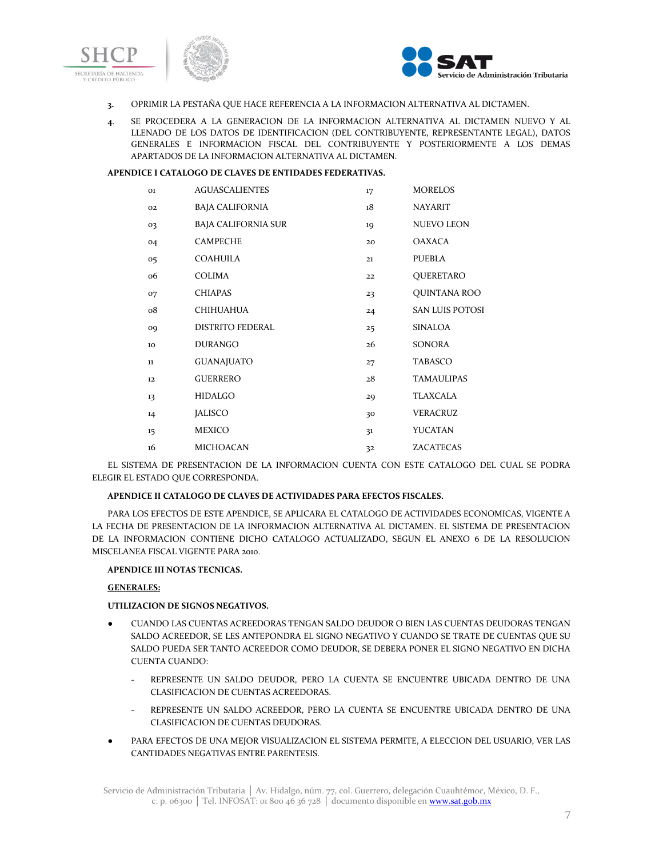



- **3.** OPRIMIR LA PESTAÑA QUE HACE REFERENCIA A LA INFORMACION ALTERNATIVA AL DICTAMEN.
- **4**. SE PROCEDERA A LA GENERACION DE LA INFORMACION ALTERNATIVA AL DICTAMEN NUEVO Y AL LLENADO DE LOS DATOS DE IDENTIFICACION (DEL CONTRIBUYENTE, REPRESENTANTE LEGAL), DATOS GENERALES E INFORMACION FISCAL DEL CONTRIBUYENTE Y POSTERIORMENTE A LOS DEMAS APARTADOS DE LA INFORMACION ALTERNATIVA AL DICTAMEN.

# **APENDICE I CATALOGO DE CLAVES DE ENTIDADES FEDERATIVAS.**

| <b>O1</b> | <b>AGUASCALIENTES</b>      | 17 | <b>MORELOS</b>         |
|-----------|----------------------------|----|------------------------|
| 02        | <b>BAJA CALIFORNIA</b>     | 18 | <b>NAYARIT</b>         |
| 03        | <b>BAJA CALIFORNIA SUR</b> | 19 | <b>NUEVO LEON</b>      |
| 04        | <b>CAMPECHE</b>            | 20 | <b>OAXACA</b>          |
| 05        | <b>COAHUILA</b>            | 21 | PUEBLA                 |
| 06        | COLIMA                     | 22 | QUERETARO              |
| 07        | <b>CHIAPAS</b>             | 23 | QUINTANA ROO           |
| 08        | CHIHUAHUA                  | 24 | <b>SAN LUIS POTOSI</b> |
| 09        | <b>DISTRITO FEDERAL</b>    | 25 | <b>SINALOA</b>         |
| 10        | <b>DURANGO</b>             | 26 | <b>SONORA</b>          |
| 11        | <b>GUANAJUATO</b>          | 27 | TABASCO                |
| 12        | <b>GUERRERO</b>            | 28 | <b>TAMAULIPAS</b>      |
| 13        | <b>HIDALGO</b>             | 29 | TLAXCALA               |
| 14        | <b>JALISCO</b>             | 30 | <b>VERACRUZ</b>        |
| 15        | <b>MEXICO</b>              | 31 | YUCATAN                |
| 16        | <b>MICHOACAN</b>           | 32 | ZACATECAS              |

EL SISTEMA DE PRESENTACION DE LA INFORMACION CUENTA CON ESTE CATALOGO DEL CUAL SE PODRA ELEGIR EL ESTADO QUE CORRESPONDA.

# **APENDICE II CATALOGO DE CLAVES DE ACTIVIDADES PARA EFECTOS FISCALES.**

PARA LOS EFECTOS DE ESTE APENDICE, SE APLICARA EL CATALOGO DE ACTIVIDADES ECONOMICAS, VIGENTE A LA FECHA DE PRESENTACION DE LA INFORMACION ALTERNATIVA AL DICTAMEN. EL SISTEMA DE PRESENTACION DE LA INFORMACION CONTIENE DICHO CATALOGO ACTUALIZADO, SEGUN EL ANEXO 6 DE LA RESOLUCION MISCELANEA FISCAL VIGENTE PARA 2010.

### **APENDICE III NOTAS TECNICAS.**

#### **GENERALES:**

#### **UTILIZACION DE SIGNOS NEGATIVOS.**

- CUANDO LAS CUENTAS ACREEDORAS TENGAN SALDO DEUDOR O BIEN LAS CUENTAS DEUDORAS TENGAN SALDO ACREEDOR, SE LES ANTEPONDRA EL SIGNO NEGATIVO Y CUANDO SE TRATE DE CUENTAS QUE SU SALDO PUEDA SER TANTO ACREEDOR COMO DEUDOR, SE DEBERA PONER EL SIGNO NEGATIVO EN DICHA CUENTA CUANDO:
	- REPRESENTE UN SALDO DEUDOR, PERO LA CUENTA SE ENCUENTRE UBICADA DENTRO DE UNA CLASIFICACION DE CUENTAS ACREEDORAS.
	- REPRESENTE UN SALDO ACREEDOR, PERO LA CUENTA SE ENCUENTRE UBICADA DENTRO DE UNA CLASIFICACION DE CUENTAS DEUDORAS.
- PARA EFECTOS DE UNA MEJOR VISUALIZACION EL SISTEMA PERMITE, A ELECCION DEL USUARIO, VER LAS CANTIDADES NEGATIVAS ENTRE PARENTESIS.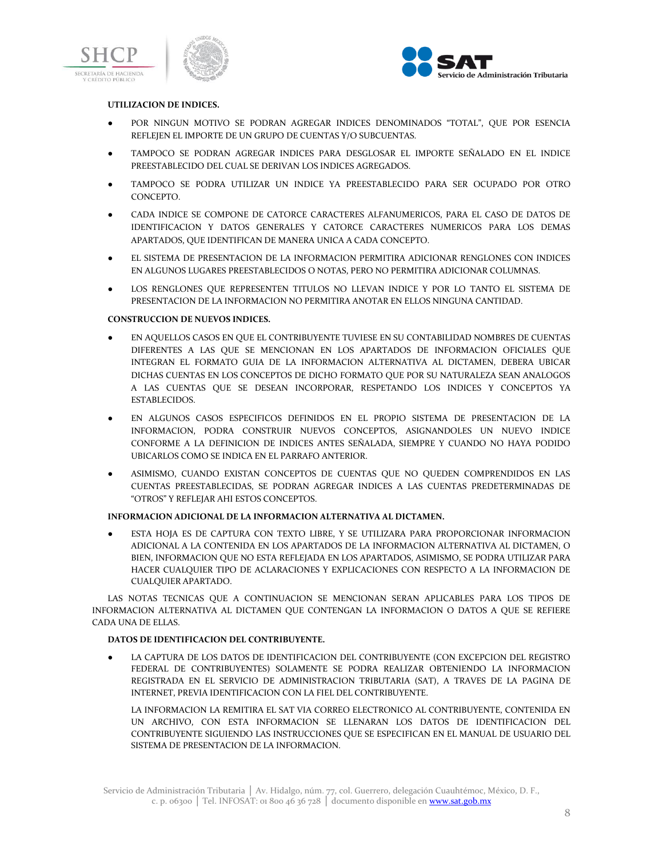





# **UTILIZACION DE INDICES.**

- POR NINGUN MOTIVO SE PODRAN AGREGAR INDICES DENOMINADOS "TOTAL", QUE POR ESENCIA REFLEJEN EL IMPORTE DE UN GRUPO DE CUENTAS Y/O SUBCUENTAS.
- TAMPOCO SE PODRAN AGREGAR INDICES PARA DESGLOSAR EL IMPORTE SEÑALADO EN EL INDICE PREESTABLECIDO DEL CUAL SE DERIVAN LOS INDICES AGREGADOS.
- TAMPOCO SE PODRA UTILIZAR UN INDICE YA PREESTABLECIDO PARA SER OCUPADO POR OTRO CONCEPTO.
- CADA INDICE SE COMPONE DE CATORCE CARACTERES ALFANUMERICOS, PARA EL CASO DE DATOS DE IDENTIFICACION Y DATOS GENERALES Y CATORCE CARACTERES NUMERICOS PARA LOS DEMAS APARTADOS, QUE IDENTIFICAN DE MANERA UNICA A CADA CONCEPTO.
- EL SISTEMA DE PRESENTACION DE LA INFORMACION PERMITIRA ADICIONAR RENGLONES CON INDICES EN ALGUNOS LUGARES PREESTABLECIDOS O NOTAS, PERO NO PERMITIRA ADICIONAR COLUMNAS.
- LOS RENGLONES QUE REPRESENTEN TITULOS NO LLEVAN INDICE Y POR LO TANTO EL SISTEMA DE PRESENTACION DE LA INFORMACION NO PERMITIRA ANOTAR EN ELLOS NINGUNA CANTIDAD.

#### **CONSTRUCCION DE NUEVOS INDICES.**

- EN AQUELLOS CASOS EN QUE EL CONTRIBUYENTE TUVIESE EN SU CONTABILIDAD NOMBRES DE CUENTAS DIFERENTES A LAS QUE SE MENCIONAN EN LOS APARTADOS DE INFORMACION OFICIALES QUE INTEGRAN EL FORMATO GUIA DE LA INFORMACION ALTERNATIVA AL DICTAMEN, DEBERA UBICAR DICHAS CUENTAS EN LOS CONCEPTOS DE DICHO FORMATO QUE POR SU NATURALEZA SEAN ANALOGOS A LAS CUENTAS QUE SE DESEAN INCORPORAR, RESPETANDO LOS INDICES Y CONCEPTOS YA ESTABLECIDOS.
- EN ALGUNOS CASOS ESPECIFICOS DEFINIDOS EN EL PROPIO SISTEMA DE PRESENTACION DE LA INFORMACION, PODRA CONSTRUIR NUEVOS CONCEPTOS, ASIGNANDOLES UN NUEVO INDICE CONFORME A LA DEFINICION DE INDICES ANTES SEÑALADA, SIEMPRE Y CUANDO NO HAYA PODIDO UBICARLOS COMO SE INDICA EN EL PARRAFO ANTERIOR.
- ASIMISMO, CUANDO EXISTAN CONCEPTOS DE CUENTAS QUE NO QUEDEN COMPRENDIDOS EN LAS CUENTAS PREESTABLECIDAS, SE PODRAN AGREGAR INDICES A LAS CUENTAS PREDETERMINADAS DE "OTROS" Y REFLEJAR AHI ESTOS CONCEPTOS.

# **INFORMACION ADICIONAL DE LA INFORMACION ALTERNATIVA AL DICTAMEN.**

● ESTA HOJA ES DE CAPTURA CON TEXTO LIBRE, Y SE UTILIZARA PARA PROPORCIONAR INFORMACION ADICIONAL A LA CONTENIDA EN LOS APARTADOS DE LA INFORMACION ALTERNATIVA AL DICTAMEN, O BIEN, INFORMACION QUE NO ESTA REFLEJADA EN LOS APARTADOS, ASIMISMO, SE PODRA UTILIZAR PARA HACER CUALQUIER TIPO DE ACLARACIONES Y EXPLICACIONES CON RESPECTO A LA INFORMACION DE CUALQUIER APARTADO.

LAS NOTAS TECNICAS QUE A CONTINUACION SE MENCIONAN SERAN APLICABLES PARA LOS TIPOS DE INFORMACION ALTERNATIVA AL DICTAMEN QUE CONTENGAN LA INFORMACION O DATOS A QUE SE REFIERE CADA UNA DE ELLAS.

# **DATOS DE IDENTIFICACION DEL CONTRIBUYENTE.**

LA CAPTURA DE LOS DATOS DE IDENTIFICACION DEL CONTRIBUYENTE (CON EXCEPCION DEL REGISTRO FEDERAL DE CONTRIBUYENTES) SOLAMENTE SE PODRA REALIZAR OBTENIENDO LA INFORMACION REGISTRADA EN EL SERVICIO DE ADMINISTRACION TRIBUTARIA (SAT), A TRAVES DE LA PAGINA DE INTERNET, PREVIA IDENTIFICACION CON LA FIEL DEL CONTRIBUYENTE.

LA INFORMACION LA REMITIRA EL SAT VIA CORREO ELECTRONICO AL CONTRIBUYENTE, CONTENIDA EN UN ARCHIVO, CON ESTA INFORMACION SE LLENARAN LOS DATOS DE IDENTIFICACION DEL CONTRIBUYENTE SIGUIENDO LAS INSTRUCCIONES QUE SE ESPECIFICAN EN EL MANUAL DE USUARIO DEL SISTEMA DE PRESENTACION DE LA INFORMACION.

Servicio de Administración Tributaria │ Av. Hidalgo, núm. 77, col. Guerrero, delegación Cuauhtémoc, México, D. F., c. p. 06300 | Tel. INFOSAT: 01 800 46 36 728 | documento disponible en **www.sat.gob.mx**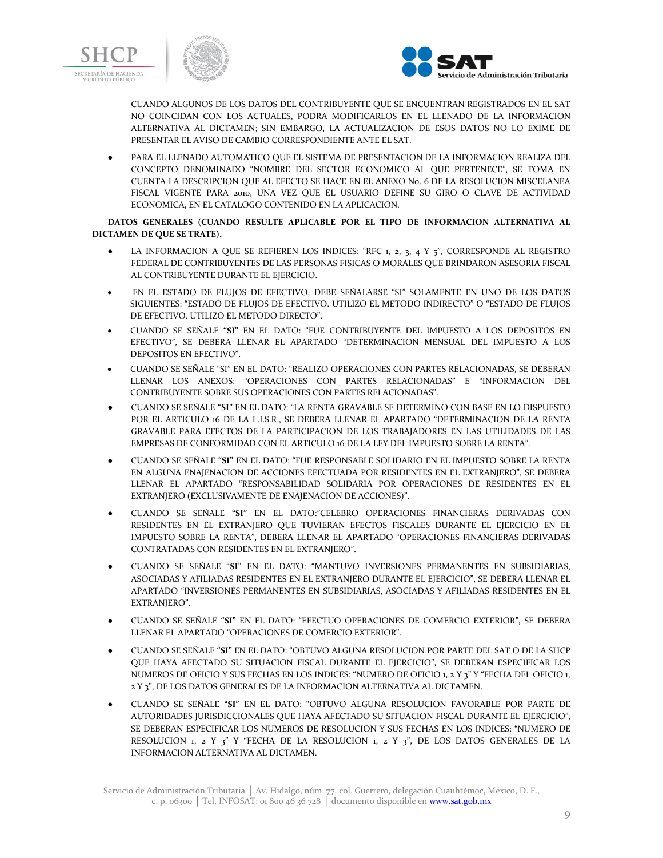



CUANDO ALGUNOS DE LOS DATOS DEL CONTRIBUYENTE QUE SE ENCUENTRAN REGISTRADOS EN EL SAT NO COINCIDAN CON LOS ACTUALES, PODRA MODIFICARLOS EN EL LLENADO DE LA INFORMACION ALTERNATIVA AL DICTAMEN; SIN EMBARGO, LA ACTUALIZACION DE ESOS DATOS NO LO EXIME DE PRESENTAR EL AVISO DE CAMBIO CORRESPONDIENTE ANTE EL SAT.

PARA EL LLENADO AUTOMATICO QUE EL SISTEMA DE PRESENTACION DE LA INFORMACION REALIZA DEL CONCEPTO DENOMINADO "NOMBRE DEL SECTOR ECONOMICO AL QUE PERTENECE", SE TOMA EN CUENTA LA DESCRIPCION QUE AL EFECTO SE HACE EN EL ANEXO No. 6 DE LA RESOLUCION MISCELANEA FISCAL VIGENTE PARA 2010, UNA VEZ QUE EL USUARIO DEFINE SU GIRO O CLAVE DE ACTIVIDAD ECONOMICA, EN EL CATALOGO CONTENIDO EN LA APLICACION.

# **DATOS GENERALES (CUANDO RESULTE APLICABLE POR EL TIPO DE INFORMACION ALTERNATIVA AL DICTAMEN DE QUE SE TRATE).**

- LA INFORMACION A QUE SE REFIEREN LOS INDICES: "RFC 1, 2, 3, 4 Y 5", CORRESPONDE AL REGISTRO FEDERAL DE CONTRIBUYENTES DE LAS PERSONAS FISICAS O MORALES QUE BRINDARON ASESORIA FISCAL AL CONTRIBUYENTE DURANTE EL EJERCICIO.
- EN EL ESTADO DE FLUJOS DE EFECTIVO, DEBE SEÑALARSE "SI" SOLAMENTE EN UNO DE LOS DATOS SIGUIENTES: "ESTADO DE FLUJOS DE EFECTIVO. UTILIZO EL METODO INDIRECTO" O "ESTADO DE FLUJOS DE EFECTIVO. UTILIZO EL METODO DIRECTO".
- CUANDO SE SEÑALE **"SI"** EN EL DATO: "FUE CONTRIBUYENTE DEL IMPUESTO A LOS DEPOSITOS EN EFECTIVO", SE DEBERA LLENAR EL APARTADO "DETERMINACION MENSUAL DEL IMPUESTO A LOS DEPOSITOS EN EFECTIVO".
- CUANDO SE SEÑALE "SI" EN EL DATO: "REALIZO OPERACIONES CON PARTES RELACIONADAS, SE DEBERAN LLENAR LOS ANEXOS: "OPERACIONES CON PARTES RELACIONADAS" E "INFORMACION DEL CONTRIBUYENTE SOBRE SUS OPERACIONES CON PARTES RELACIONADAS".
- CUANDO SE SEÑALE **"SI"** EN EL DATO: "LA RENTA GRAVABLE SE DETERMINO CON BASE EN LO DISPUESTO POR EL ARTICULO 16 DE LA L.I.S.R., SE DEBERA LLENAR EL APARTADO "DETERMINACION DE LA RENTA GRAVABLE PARA EFECTOS DE LA PARTICIPACION DE LOS TRABAJADORES EN LAS UTILIDADES DE LAS EMPRESAS DE CONFORMIDAD CON EL ARTICULO 16 DE LA LEY DEL IMPUESTO SOBRE LA RENTA".
- CUANDO SE SEÑALE **"SI"** EN EL DATO: "FUE RESPONSABLE SOLIDARIO EN EL IMPUESTO SOBRE LA RENTA EN ALGUNA ENAJENACION DE ACCIONES EFECTUADA POR RESIDENTES EN EL EXTRANJERO", SE DEBERA LLENAR EL APARTADO "RESPONSABILIDAD SOLIDARIA POR OPERACIONES DE RESIDENTES EN EL EXTRANJERO (EXCLUSIVAMENTE DE ENAJENACION DE ACCIONES)".
- CUANDO SE SEÑALE **"SI"** EN EL DATO:"CELEBRO OPERACIONES FINANCIERAS DERIVADAS CON RESIDENTES EN EL EXTRANJERO QUE TUVIERAN EFECTOS FISCALES DURANTE EL EJERCICIO EN EL IMPUESTO SOBRE LA RENTA", DEBERA LLENAR EL APARTADO "OPERACIONES FINANCIERAS DERIVADAS CONTRATADAS CON RESIDENTES EN EL EXTRANJERO".
- CUANDO SE SEÑALE **"SI"** EN EL DATO: "MANTUVO INVERSIONES PERMANENTES EN SUBSIDIARIAS, ASOCIADAS Y AFILIADAS RESIDENTES EN EL EXTRANJERO DURANTE EL EJERCICIO", SE DEBERA LLENAR EL APARTADO "INVERSIONES PERMANENTES EN SUBSIDIARIAS, ASOCIADAS Y AFILIADAS RESIDENTES EN EL EXTRANJERO".
- CUANDO SE SEÑALE **"SI"** EN EL DATO: "EFECTUO OPERACIONES DE COMERCIO EXTERIOR", SE DEBERA LLENAR EL APARTADO "OPERACIONES DE COMERCIO EXTERIOR".
- CUANDO SE SEÑALE **"SI"** EN EL DATO: "OBTUVO ALGUNA RESOLUCION POR PARTE DEL SAT O DE LA SHCP QUE HAYA AFECTADO SU SITUACION FISCAL DURANTE EL EJERCICIO", SE DEBERAN ESPECIFICAR LOS NUMEROS DE OFICIO Y SUS FECHAS EN LOS INDICES: "NUMERO DE OFICIO 1, 2 Y 3" Y "FECHA DEL OFICIO 1, 2 Y 3", DE LOS DATOS GENERALES DE LA INFORMACION ALTERNATIVA AL DICTAMEN.
- CUANDO SE SEÑALE **"SI"** EN EL DATO: "OBTUVO ALGUNA RESOLUCION FAVORABLE POR PARTE DE AUTORIDADES JURISDICCIONALES QUE HAYA AFECTADO SU SITUACION FISCAL DURANTE EL EJERCICIO", SE DEBERAN ESPECIFICAR LOS NUMEROS DE RESOLUCION Y SUS FECHAS EN LOS INDICES: "NUMERO DE RESOLUCION 1, 2 Y 3" Y "FECHA DE LA RESOLUCION 1, 2 Y 3", DE LOS DATOS GENERALES DE LA INFORMACION ALTERNATIVA AL DICTAMEN.

Servicio de Administración Tributaria │ Av. Hidalgo, núm. 77, col. Guerrero, delegación Cuauhtémoc, México, D. F., c. p. 06300 | Tel. INFOSAT: 01 800  $4\overline{6}$  36 728 | documento disponible en www.sat.gob.mx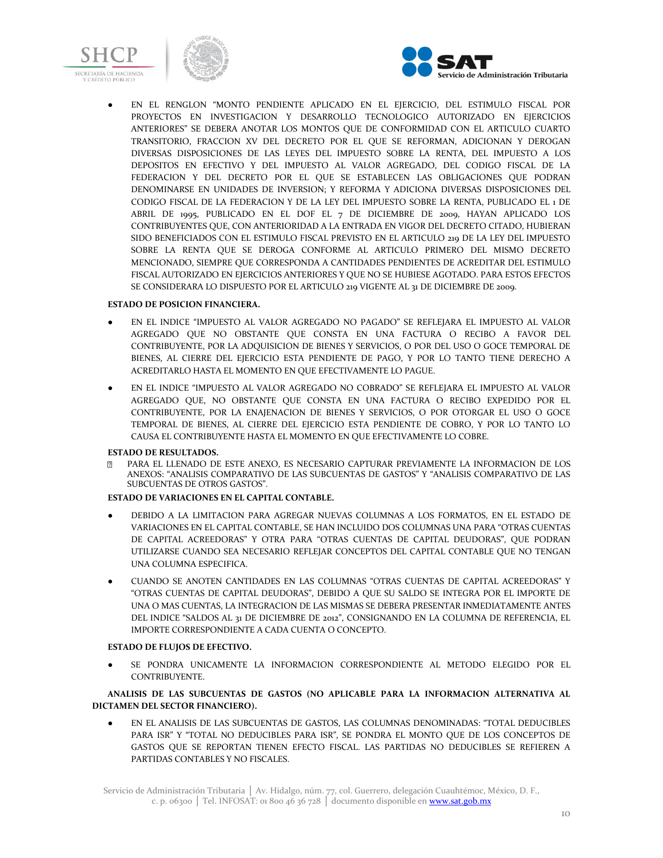





EN EL RENGLON "MONTO PENDIENTE APLICADO EN EL EJERCICIO, DEL ESTIMULO FISCAL POR PROYECTOS EN INVESTIGACION Y DESARROLLO TECNOLOGICO AUTORIZADO EN EJERCICIOS ANTERIORES" SE DEBERA ANOTAR LOS MONTOS QUE DE CONFORMIDAD CON EL ARTICULO CUARTO TRANSITORIO, FRACCION XV DEL DECRETO POR EL QUE SE REFORMAN, ADICIONAN Y DEROGAN DIVERSAS DISPOSICIONES DE LAS LEYES DEL IMPUESTO SOBRE LA RENTA, DEL IMPUESTO A LOS DEPOSITOS EN EFECTIVO Y DEL IMPUESTO AL VALOR AGREGADO, DEL CODIGO FISCAL DE LA FEDERACION Y DEL DECRETO POR EL QUE SE ESTABLECEN LAS OBLIGACIONES QUE PODRAN DENOMINARSE EN UNIDADES DE INVERSION; Y REFORMA Y ADICIONA DIVERSAS DISPOSICIONES DEL CODIGO FISCAL DE LA FEDERACION Y DE LA LEY DEL IMPUESTO SOBRE LA RENTA, PUBLICADO EL 1 DE ABRIL DE 1995, PUBLICADO EN EL DOF EL 7 DE DICIEMBRE DE 2009, HAYAN APLICADO LOS CONTRIBUYENTES QUE, CON ANTERIORIDAD A LA ENTRADA EN VIGOR DEL DECRETO CITADO, HUBIERAN SIDO BENEFICIADOS CON EL ESTIMULO FISCAL PREVISTO EN EL ARTICULO 219 DE LA LEY DEL IMPUESTO SOBRE LA RENTA QUE SE DEROGA CONFORME AL ARTICULO PRIMERO DEL MISMO DECRETO MENCIONADO, SIEMPRE QUE CORRESPONDA A CANTIDADES PENDIENTES DE ACREDITAR DEL ESTIMULO FISCAL AUTORIZADO EN EJERCICIOS ANTERIORES Y QUE NO SE HUBIESE AGOTADO. PARA ESTOS EFECTOS SE CONSIDERARA LO DISPUESTO POR EL ARTICULO 219 VIGENTE AL 31 DE DICIEMBRE DE 2009.

### **ESTADO DE POSICION FINANCIERA.**

- EN EL INDICE "IMPUESTO AL VALOR AGREGADO NO PAGADO" SE REFLEJARA EL IMPUESTO AL VALOR AGREGADO QUE NO OBSTANTE QUE CONSTA EN UNA FACTURA O RECIBO A FAVOR DEL CONTRIBUYENTE, POR LA ADQUISICION DE BIENES Y SERVICIOS, O POR DEL USO O GOCE TEMPORAL DE BIENES, AL CIERRE DEL EJERCICIO ESTA PENDIENTE DE PAGO, Y POR LO TANTO TIENE DERECHO A ACREDITARLO HASTA EL MOMENTO EN QUE EFECTIVAMENTE LO PAGUE.
- EN EL INDICE "IMPUESTO AL VALOR AGREGADO NO COBRADO" SE REFLEJARA EL IMPUESTO AL VALOR AGREGADO QUE, NO OBSTANTE QUE CONSTA EN UNA FACTURA O RECIBO EXPEDIDO POR EL CONTRIBUYENTE, POR LA ENAJENACION DE BIENES Y SERVICIOS, O POR OTORGAR EL USO O GOCE TEMPORAL DE BIENES, AL CIERRE DEL EJERCICIO ESTA PENDIENTE DE COBRO, Y POR LO TANTO LO CAUSA EL CONTRIBUYENTE HASTA EL MOMENTO EN QUE EFECTIVAMENTE LO COBRE.

#### **ESTADO DE RESULTADOS.**

PARA EL LLENADO DE ESTE ANEXO, ES NECESARIO CAPTURAR PREVIAMENTE LA INFORMACION DE LOS ANEXOS: "ANALISIS COMPARATIVO DE LAS SUBCUENTAS DE GASTOS" Y "ANALISIS COMPARATIVO DE LAS SUBCUENTAS DE OTROS GASTOS".

# **ESTADO DE VARIACIONES EN EL CAPITAL CONTABLE.**

- DEBIDO A LA LIMITACION PARA AGREGAR NUEVAS COLUMNAS A LOS FORMATOS, EN EL ESTADO DE VARIACIONES EN EL CAPITAL CONTABLE, SE HAN INCLUIDO DOS COLUMNAS UNA PARA "OTRAS CUENTAS DE CAPITAL ACREEDORAS" Y OTRA PARA "OTRAS CUENTAS DE CAPITAL DEUDORAS", QUE PODRAN UTILIZARSE CUANDO SEA NECESARIO REFLEJAR CONCEPTOS DEL CAPITAL CONTABLE QUE NO TENGAN UNA COLUMNA ESPECIFICA.
- CUANDO SE ANOTEN CANTIDADES EN LAS COLUMNAS "OTRAS CUENTAS DE CAPITAL ACREEDORAS" Y "OTRAS CUENTAS DE CAPITAL DEUDORAS", DEBIDO A QUE SU SALDO SE INTEGRA POR EL IMPORTE DE UNA O MAS CUENTAS, LA INTEGRACION DE LAS MISMAS SE DEBERA PRESENTAR INMEDIATAMENTE ANTES DEL INDICE "SALDOS AL 31 DE DICIEMBRE DE 2012", CONSIGNANDO EN LA COLUMNA DE REFERENCIA, EL IMPORTE CORRESPONDIENTE A CADA CUENTA O CONCEPTO.

#### **ESTADO DE FLUJOS DE EFECTIVO.**

● SE PONDRA UNICAMENTE LA INFORMACION CORRESPONDIENTE AL METODO ELEGIDO POR EL CONTRIBUYENTE.

# **ANALISIS DE LAS SUBCUENTAS DE GASTOS (NO APLICABLE PARA LA INFORMACION ALTERNATIVA AL DICTAMEN DEL SECTOR FINANCIERO).**

EN EL ANALISIS DE LAS SUBCUENTAS DE GASTOS, LAS COLUMNAS DENOMINADAS: "TOTAL DEDUCIBLES PARA ISR" Y "TOTAL NO DEDUCIBLES PARA ISR", SE PONDRA EL MONTO QUE DE LOS CONCEPTOS DE GASTOS QUE SE REPORTAN TIENEN EFECTO FISCAL. LAS PARTIDAS NO DEDUCIBLES SE REFIEREN A PARTIDAS CONTABLES Y NO FISCALES.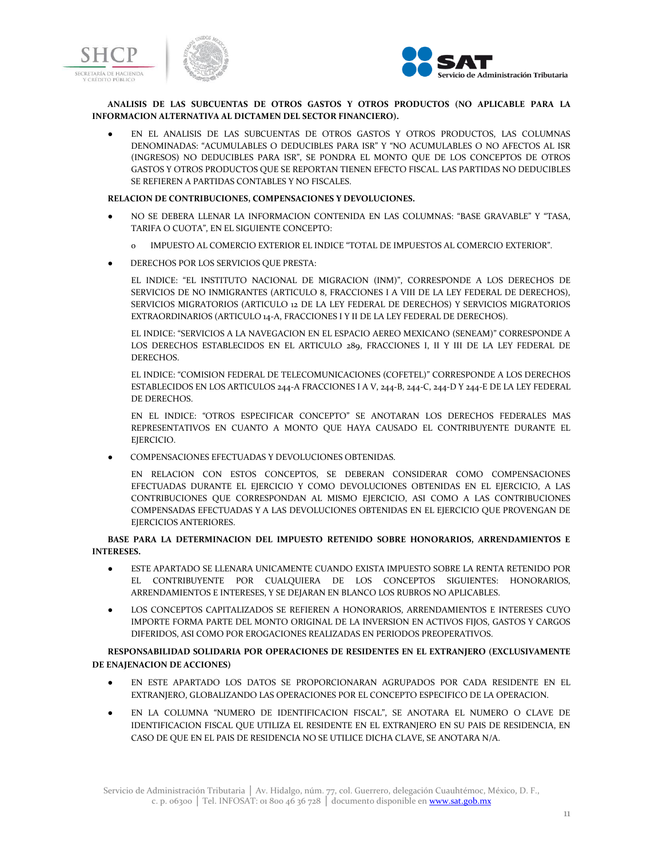



**ANALISIS DE LAS SUBCUENTAS DE OTROS GASTOS Y OTROS PRODUCTOS (NO APLICABLE PARA LA INFORMACION ALTERNATIVA AL DICTAMEN DEL SECTOR FINANCIERO).**

EN EL ANALISIS DE LAS SUBCUENTAS DE OTROS GASTOS Y OTROS PRODUCTOS, LAS COLUMNAS DENOMINADAS: "ACUMULABLES O DEDUCIBLES PARA ISR" Y "NO ACUMULABLES O NO AFECTOS AL ISR (INGRESOS) NO DEDUCIBLES PARA ISR", SE PONDRA EL MONTO QUE DE LOS CONCEPTOS DE OTROS GASTOS Y OTROS PRODUCTOS QUE SE REPORTAN TIENEN EFECTO FISCAL. LAS PARTIDAS NO DEDUCIBLES SE REFIEREN A PARTIDAS CONTABLES Y NO FISCALES.

#### **RELACION DE CONTRIBUCIONES, COMPENSACIONES Y DEVOLUCIONES.**

- NO SE DEBERA LLENAR LA INFORMACION CONTENIDA EN LAS COLUMNAS: "BASE GRAVABLE" Y "TASA, TARIFA O CUOTA", EN EL SIGUIENTE CONCEPTO:
	- IMPUESTO AL COMERCIO EXTERIOR EL INDICE "TOTAL DE IMPUESTOS AL COMERCIO EXTERIOR".
- DERECHOS POR LOS SERVICIOS QUE PRESTA:

EL INDICE: "EL INSTITUTO NACIONAL DE MIGRACION (INM)", CORRESPONDE A LOS DERECHOS DE SERVICIOS DE NO INMIGRANTES (ARTICULO 8, FRACCIONES I A VIII DE LA LEY FEDERAL DE DERECHOS), SERVICIOS MIGRATORIOS (ARTICULO 12 DE LA LEY FEDERAL DE DERECHOS) Y SERVICIOS MIGRATORIOS EXTRAORDINARIOS (ARTICULO 14-A, FRACCIONES I Y II DE LA LEY FEDERAL DE DERECHOS).

EL INDICE: "SERVICIOS A LA NAVEGACION EN EL ESPACIO AEREO MEXICANO (SENEAM)" CORRESPONDE A LOS DERECHOS ESTABLECIDOS EN EL ARTICULO 289, FRACCIONES I, II Y III DE LA LEY FEDERAL DE DERECHOS.

EL INDICE: "COMISION FEDERAL DE TELECOMUNICACIONES (COFETEL)" CORRESPONDE A LOS DERECHOS ESTABLECIDOS EN LOS ARTICULOS 244-A FRACCIONES I A V, 244-B, 244-C, 244-D Y 244-E DE LA LEY FEDERAL DE DERECHOS.

EN EL INDICE: "OTROS ESPECIFICAR CONCEPTO" SE ANOTARAN LOS DERECHOS FEDERALES MAS REPRESENTATIVOS EN CUANTO A MONTO QUE HAYA CAUSADO EL CONTRIBUYENTE DURANTE EL EJERCICIO.

COMPENSACIONES EFECTUADAS Y DEVOLUCIONES OBTENIDAS.

EN RELACION CON ESTOS CONCEPTOS, SE DEBERAN CONSIDERAR COMO COMPENSACIONES EFECTUADAS DURANTE EL EJERCICIO Y COMO DEVOLUCIONES OBTENIDAS EN EL EJERCICIO, A LAS CONTRIBUCIONES QUE CORRESPONDAN AL MISMO EJERCICIO, ASI COMO A LAS CONTRIBUCIONES COMPENSADAS EFECTUADAS Y A LAS DEVOLUCIONES OBTENIDAS EN EL EJERCICIO QUE PROVENGAN DE EIERCICIOS ANTERIORES.

# **BASE PARA LA DETERMINACION DEL IMPUESTO RETENIDO SOBRE HONORARIOS, ARRENDAMIENTOS E INTERESES.**

- ESTE APARTADO SE LLENARA UNICAMENTE CUANDO EXISTA IMPUESTO SOBRE LA RENTA RETENIDO POR EL CONTRIBUYENTE POR CUALQUIERA DE LOS CONCEPTOS SIGUIENTES: HONORARIOS, ARRENDAMIENTOS E INTERESES, Y SE DEJARAN EN BLANCO LOS RUBROS NO APLICABLES.
- LOS CONCEPTOS CAPITALIZADOS SE REFIEREN A HONORARIOS, ARRENDAMIENTOS E INTERESES CUYO IMPORTE FORMA PARTE DEL MONTO ORIGINAL DE LA INVERSION EN ACTIVOS FIJOS, GASTOS Y CARGOS DIFERIDOS, ASI COMO POR EROGACIONES REALIZADAS EN PERIODOS PREOPERATIVOS.

# **RESPONSABILIDAD SOLIDARIA POR OPERACIONES DE RESIDENTES EN EL EXTRANJERO (EXCLUSIVAMENTE DE ENAJENACION DE ACCIONES)**

- EN ESTE APARTADO LOS DATOS SE PROPORCIONARAN AGRUPADOS POR CADA RESIDENTE EN EL EXTRANJERO, GLOBALIZANDO LAS OPERACIONES POR EL CONCEPTO ESPECIFICO DE LA OPERACION.
- EN LA COLUMNA "NUMERO DE IDENTIFICACION FISCAL", SE ANOTARA EL NUMERO O CLAVE DE IDENTIFICACION FISCAL QUE UTILIZA EL RESIDENTE EN EL EXTRANJERO EN SU PAIS DE RESIDENCIA, EN CASO DE QUE EN EL PAIS DE RESIDENCIA NO SE UTILICE DICHA CLAVE, SE ANOTARA N/A.

Servicio de Administración Tributaria │ Av. Hidalgo, núm. 77, col. Guerrero, delegación Cuauhtémoc, México, D. F., c. p. 06300 | Tel. INFOSAT: 01 800 46 36 728 | documento disponible en **www.sat.gob.mx**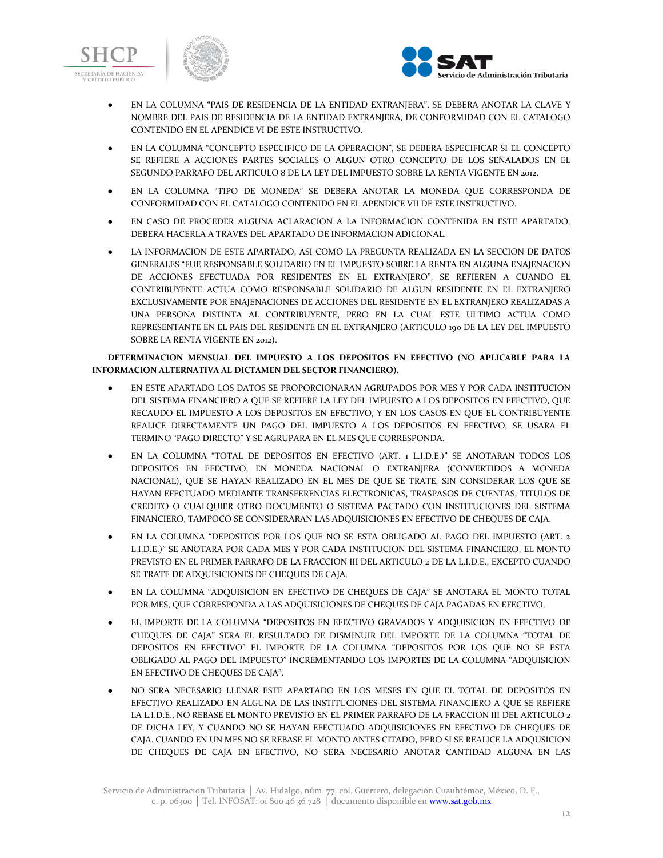





- EN LA COLUMNA "PAIS DE RESIDENCIA DE LA ENTIDAD EXTRANJERA", SE DEBERA ANOTAR LA CLAVE Y NOMBRE DEL PAIS DE RESIDENCIA DE LA ENTIDAD EXTRANJERA, DE CONFORMIDAD CON EL CATALOGO CONTENIDO EN EL APENDICE VI DE ESTE INSTRUCTIVO.
- EN LA COLUMNA "CONCEPTO ESPECIFICO DE LA OPERACION", SE DEBERA ESPECIFICAR SI EL CONCEPTO SE REFIERE A ACCIONES PARTES SOCIALES O ALGUN OTRO CONCEPTO DE LOS SEÑALADOS EN EL SEGUNDO PARRAFO DEL ARTICULO 8 DE LA LEY DEL IMPUESTO SOBRE LA RENTA VIGENTE EN 2012.
- EN LA COLUMNA "TIPO DE MONEDA" SE DEBERA ANOTAR LA MONEDA QUE CORRESPONDA DE CONFORMIDAD CON EL CATALOGO CONTENIDO EN EL APENDICE VII DE ESTE INSTRUCTIVO.
- EN CASO DE PROCEDER ALGUNA ACLARACION A LA INFORMACION CONTENIDA EN ESTE APARTADO. DEBERA HACERLA A TRAVES DEL APARTADO DE INFORMACION ADICIONAL.
- LA INFORMACION DE ESTE APARTADO, ASI COMO LA PREGUNTA REALIZADA EN LA SECCION DE DATOS GENERALES "FUE RESPONSABLE SOLIDARIO EN EL IMPUESTO SOBRE LA RENTA EN ALGUNA ENAJENACION DE ACCIONES EFECTUADA POR RESIDENTES EN EL EXTRANJERO", SE REFIEREN A CUANDO EL CONTRIBUYENTE ACTUA COMO RESPONSABLE SOLIDARIO DE ALGUN RESIDENTE EN EL EXTRANJERO EXCLUSIVAMENTE POR ENAJENACIONES DE ACCIONES DEL RESIDENTE EN EL EXTRANJERO REALIZADAS A UNA PERSONA DISTINTA AL CONTRIBUYENTE, PERO EN LA CUAL ESTE ULTIMO ACTUA COMO REPRESENTANTE EN EL PAIS DEL RESIDENTE EN EL EXTRANJERO (ARTICULO 190 DE LA LEY DEL IMPUESTO SOBRE LA RENTA VIGENTE EN 2012).

# **DETERMINACION MENSUAL DEL IMPUESTO A LOS DEPOSITOS EN EFECTIVO (NO APLICABLE PARA LA INFORMACION ALTERNATIVA AL DICTAMEN DEL SECTOR FINANCIERO).**

- EN ESTE APARTADO LOS DATOS SE PROPORCIONARAN AGRUPADOS POR MES Y POR CADA INSTITUCION DEL SISTEMA FINANCIERO A QUE SE REFIERE LA LEY DEL IMPUESTO A LOS DEPOSITOS EN EFECTIVO, QUE RECAUDO EL IMPUESTO A LOS DEPOSITOS EN EFECTIVO, Y EN LOS CASOS EN QUE EL CONTRIBUYENTE REALICE DIRECTAMENTE UN PAGO DEL IMPUESTO A LOS DEPOSITOS EN EFECTIVO, SE USARA EL TERMINO "PAGO DIRECTO" Y SE AGRUPARA EN EL MES QUE CORRESPONDA.
- EN LA COLUMNA "TOTAL DE DEPOSITOS EN EFECTIVO (ART. 1 L.I.D.E.)" SE ANOTARAN TODOS LOS DEPOSITOS EN EFECTIVO, EN MONEDA NACIONAL O EXTRANJERA (CONVERTIDOS A MONEDA NACIONAL), QUE SE HAYAN REALIZADO EN EL MES DE QUE SE TRATE, SIN CONSIDERAR LOS QUE SE HAYAN EFECTUADO MEDIANTE TRANSFERENCIAS ELECTRONICAS, TRASPASOS DE CUENTAS, TITULOS DE CREDITO O CUALQUIER OTRO DOCUMENTO O SISTEMA PACTADO CON INSTITUCIONES DEL SISTEMA FINANCIERO, TAMPOCO SE CONSIDERARAN LAS ADQUISICIONES EN EFECTIVO DE CHEQUES DE CAJA.
- EN LA COLUMNA "DEPOSITOS POR LOS QUE NO SE ESTA OBLIGADO AL PAGO DEL IMPUESTO (ART. 2 L.I.D.E.)" SE ANOTARA POR CADA MES Y POR CADA INSTITUCION DEL SISTEMA FINANCIERO, EL MONTO PREVISTO EN EL PRIMER PARRAFO DE LA FRACCION III DEL ARTICULO 2 DE LA L.I.D.E., EXCEPTO CUANDO SE TRATE DE ADQUISICIONES DE CHEQUES DE CAJA.
- EN LA COLUMNA "ADQUISICION EN EFECTIVO DE CHEQUES DE CAJA" SE ANOTARA EL MONTO TOTAL POR MES, QUE CORRESPONDA A LAS ADQUISICIONES DE CHEQUES DE CAJA PAGADAS EN EFECTIVO.
- EL IMPORTE DE LA COLUMNA "DEPOSITOS EN EFECTIVO GRAVADOS Y ADQUISICION EN EFECTIVO DE CHEQUES DE CAJA" SERA EL RESULTADO DE DISMINUIR DEL IMPORTE DE LA COLUMNA "TOTAL DE DEPOSITOS EN EFECTIVO" EL IMPORTE DE LA COLUMNA "DEPOSITOS POR LOS QUE NO SE ESTA OBLIGADO AL PAGO DEL IMPUESTO" INCREMENTANDO LOS IMPORTES DE LA COLUMNA "ADQUISICION EN EFECTIVO DE CHEQUES DE CAJA".
- NO SERA NECESARIO LLENAR ESTE APARTADO EN LOS MESES EN QUE EL TOTAL DE DEPOSITOS EN EFECTIVO REALIZADO EN ALGUNA DE LAS INSTITUCIONES DEL SISTEMA FINANCIERO A QUE SE REFIERE LA L.I.D.E., NO REBASE EL MONTO PREVISTO EN EL PRIMER PARRAFO DE LA FRACCION III DEL ARTICULO 2 DE DICHA LEY, Y CUANDO NO SE HAYAN EFECTUADO ADQUISICIONES EN EFECTIVO DE CHEQUES DE CAJA. CUANDO EN UN MES NO SE REBASE EL MONTO ANTES CITADO, PERO SI SE REALICE LA ADQUSICION DE CHEQUES DE CAJA EN EFECTIVO, NO SERA NECESARIO ANOTAR CANTIDAD ALGUNA EN LAS

Servicio de Administración Tributaria │ Av. Hidalgo, núm. 77, col. Guerrero, delegación Cuauhtémoc, México, D. F., c. p. 06300 | Tel. INFOSAT: 01 800 46 36 728 | documento disponible en **www.sat.gob.mx**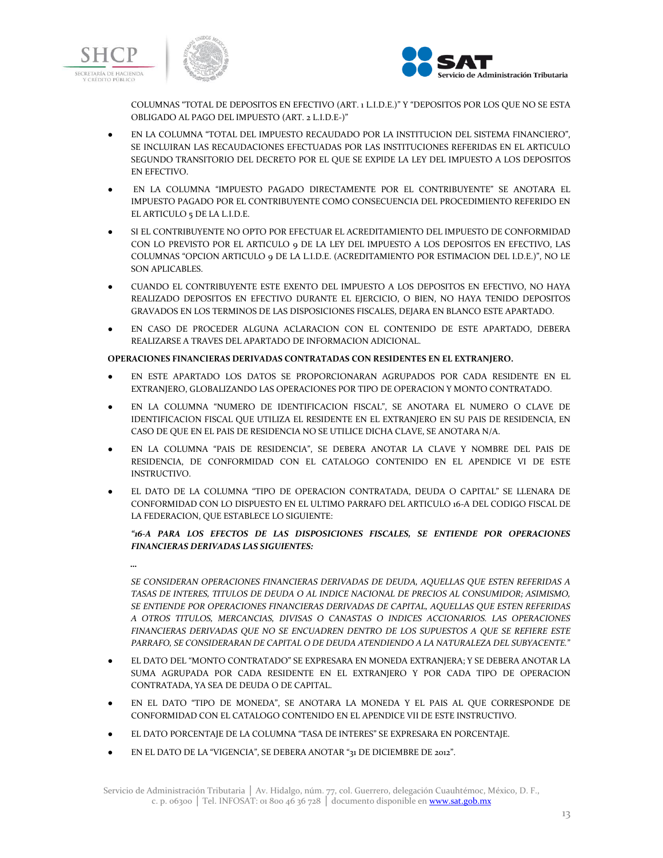

*…*



COLUMNAS "TOTAL DE DEPOSITOS EN EFECTIVO (ART. 1 L.I.D.E.)" Y "DEPOSITOS POR LOS QUE NO SE ESTA OBLIGADO AL PAGO DEL IMPUESTO (ART. 2 L.I.D.E-)"

- EN LA COLUMNA "TOTAL DEL IMPUESTO RECAUDADO POR LA INSTITUCION DEL SISTEMA FINANCIERO", SE INCLUIRAN LAS RECAUDACIONES EFECTUADAS POR LAS INSTITUCIONES REFERIDAS EN EL ARTICULO SEGUNDO TRANSITORIO DEL DECRETO POR EL QUE SE EXPIDE LA LEY DEL IMPUESTO A LOS DEPOSITOS EN EFECTIVO.
- EN LA COLUMNA "IMPUESTO PAGADO DIRECTAMENTE POR EL CONTRIBUYENTE" SE ANOTARA EL IMPUESTO PAGADO POR EL CONTRIBUYENTE COMO CONSECUENCIA DEL PROCEDIMIENTO REFERIDO EN EL ARTICULO 5 DE LA L.I.D.E.
- SI EL CONTRIBUYENTE NO OPTO POR EFECTUAR EL ACREDITAMIENTO DEL IMPUESTO DE CONFORMIDAD CON LO PREVISTO POR EL ARTICULO 9 DE LA LEY DEL IMPUESTO A LOS DEPOSITOS EN EFECTIVO, LAS COLUMNAS "OPCION ARTICULO 9 DE LA L.I.D.E. (ACREDITAMIENTO POR ESTIMACION DEL I.D.E.)", NO LE SON APLICABLES.
- CUANDO EL CONTRIBUYENTE ESTE EXENTO DEL IMPUESTO A LOS DEPOSITOS EN EFECTIVO, NO HAYA REALIZADO DEPOSITOS EN EFECTIVO DURANTE EL EJERCICIO, O BIEN, NO HAYA TENIDO DEPOSITOS GRAVADOS EN LOS TERMINOS DE LAS DISPOSICIONES FISCALES, DEJARA EN BLANCO ESTE APARTADO.
- EN CASO DE PROCEDER ALGUNA ACLARACION CON EL CONTENIDO DE ESTE APARTADO, DEBERA REALIZARSE A TRAVES DEL APARTADO DE INFORMACION ADICIONAL.

# **OPERACIONES FINANCIERAS DERIVADAS CONTRATADAS CON RESIDENTES EN EL EXTRANJERO.**

- EN ESTE APARTADO LOS DATOS SE PROPORCIONARAN AGRUPADOS POR CADA RESIDENTE EN EL EXTRANJERO, GLOBALIZANDO LAS OPERACIONES POR TIPO DE OPERACION Y MONTO CONTRATADO.
- EN LA COLUMNA "NUMERO DE IDENTIFICACION FISCAL", SE ANOTARA EL NUMERO O CLAVE DE IDENTIFICACION FISCAL QUE UTILIZA EL RESIDENTE EN EL EXTRANJERO EN SU PAIS DE RESIDENCIA, EN CASO DE QUE EN EL PAIS DE RESIDENCIA NO SE UTILICE DICHA CLAVE, SE ANOTARA N/A.
- EN LA COLUMNA "PAIS DE RESIDENCIA", SE DEBERA ANOTAR LA CLAVE Y NOMBRE DEL PAIS DE RESIDENCIA, DE CONFORMIDAD CON EL CATALOGO CONTENIDO EN EL APENDICE VI DE ESTE INSTRUCTIVO.
- EL DATO DE LA COLUMNA "TIPO DE OPERACION CONTRATADA, DEUDA O CAPITAL" SE LLENARA DE CONFORMIDAD CON LO DISPUESTO EN EL ULTIMO PARRAFO DEL ARTICULO 16-A DEL CODIGO FISCAL DE LA FEDERACION, QUE ESTABLECE LO SIGUIENTE:

# *"16-A PARA LOS EFECTOS DE LAS DISPOSICIONES FISCALES, SE ENTIENDE POR OPERACIONES FINANCIERAS DERIVADAS LAS SIGUIENTES:*

*SE CONSIDERAN OPERACIONES FINANCIERAS DERIVADAS DE DEUDA, AQUELLAS QUE ESTEN REFERIDAS A TASAS DE INTERES, TITULOS DE DEUDA O AL INDICE NACIONAL DE PRECIOS AL CONSUMIDOR; ASIMISMO, SE ENTIENDE POR OPERACIONES FINANCIERAS DERIVADAS DE CAPITAL, AQUELLAS QUE ESTEN REFERIDAS A OTROS TITULOS, MERCANCIAS, DIVISAS O CANASTAS O INDICES ACCIONARIOS. LAS OPERACIONES FINANCIERAS DERIVADAS QUE NO SE ENCUADREN DENTRO DE LOS SUPUESTOS A QUE SE REFIERE ESTE PARRAFO, SE CONSIDERARAN DE CAPITAL O DE DEUDA ATENDIENDO A LA NATURALEZA DEL SUBYACENTE.*"

- EL DATO DEL "MONTO CONTRATADO" SE EXPRESARA EN MONEDA EXTRANJERA; Y SE DEBERA ANOTAR LA SUMA AGRUPADA POR CADA RESIDENTE EN EL EXTRANJERO Y POR CADA TIPO DE OPERACION CONTRATADA, YA SEA DE DEUDA O DE CAPITAL.
- EN EL DATO "TIPO DE MONEDA", SE ANOTARA LA MONEDA Y EL PAIS AL QUE CORRESPONDE DE CONFORMIDAD CON EL CATALOGO CONTENIDO EN EL APENDICE VII DE ESTE INSTRUCTIVO.
- EL DATO PORCENTAJE DE LA COLUMNA "TASA DE INTERES" SE EXPRESARA EN PORCENTAJE.
- EN EL DATO DE LA "VIGENCIA", SE DEBERA ANOTAR "31 DE DICIEMBRE DE 2012".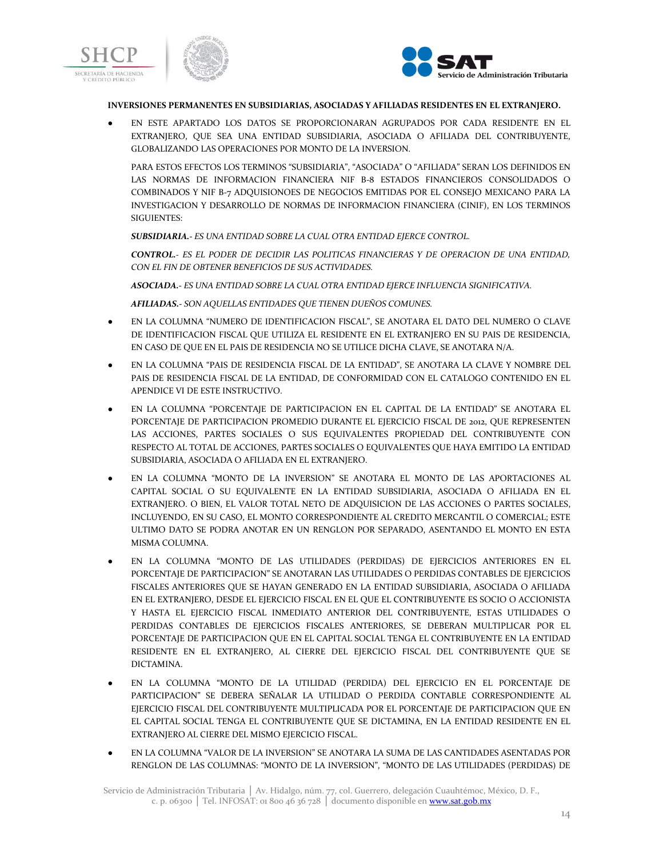



### **INVERSIONES PERMANENTES EN SUBSIDIARIAS, ASOCIADAS Y AFILIADAS RESIDENTES EN EL EXTRANJERO.**

EN ESTE APARTADO LOS DATOS SE PROPORCIONARAN AGRUPADOS POR CADA RESIDENTE EN EL EXTRANJERO, QUE SEA UNA ENTIDAD SUBSIDIARIA, ASOCIADA O AFILIADA DEL CONTRIBUYENTE, GLOBALIZANDO LAS OPERACIONES POR MONTO DE LA INVERSION.

PARA ESTOS EFECTOS LOS TERMINOS "SUBSIDIARIA", "ASOCIADA" O "AFILIADA" SERAN LOS DEFINIDOS EN LAS NORMAS DE INFORMACION FINANCIERA NIF B-8 ESTADOS FINANCIEROS CONSOLIDADOS O COMBINADOS Y NIF B-7 ADQUISIONOES DE NEGOCIOS EMITIDAS POR EL CONSEJO MEXICANO PARA LA INVESTIGACION Y DESARROLLO DE NORMAS DE INFORMACION FINANCIERA (CINIF), EN LOS TERMINOS SIGUIENTES:

*SUBSIDIARIA.- ES UNA ENTIDAD SOBRE LA CUAL OTRA ENTIDAD EJERCE CONTROL.*

*CONTROL.- ES EL PODER DE DECIDIR LAS POLITICAS FINANCIERAS Y DE OPERACION DE UNA ENTIDAD, CON EL FIN DE OBTENER BENEFICIOS DE SUS ACTIVIDADES.*

*ASOCIADA.- ES UNA ENTIDAD SOBRE LA CUAL OTRA ENTIDAD EJERCE INFLUENCIA SIGNIFICATIVA.*

*AFILIADAS.- SON AQUELLAS ENTIDADES QUE TIENEN DUEÑOS COMUNES.*

- EN LA COLUMNA "NUMERO DE IDENTIFICACION FISCAL", SE ANOTARA EL DATO DEL NUMERO O CLAVE DE IDENTIFICACION FISCAL QUE UTILIZA EL RESIDENTE EN EL EXTRANJERO EN SU PAIS DE RESIDENCIA, EN CASO DE QUE EN EL PAIS DE RESIDENCIA NO SE UTILICE DICHA CLAVE, SE ANOTARA N/A.
- EN LA COLUMNA "PAIS DE RESIDENCIA FISCAL DE LA ENTIDAD", SE ANOTARA LA CLAVE Y NOMBRE DEL PAIS DE RESIDENCIA FISCAL DE LA ENTIDAD, DE CONFORMIDAD CON EL CATALOGO CONTENIDO EN EL APENDICE VI DE ESTE INSTRUCTIVO.
- EN LA COLUMNA "PORCENTAJE DE PARTICIPACION EN EL CAPITAL DE LA ENTIDAD" SE ANOTARA EL PORCENTAJE DE PARTICIPACION PROMEDIO DURANTE EL EJERCICIO FISCAL DE 2012, QUE REPRESENTEN LAS ACCIONES, PARTES SOCIALES O SUS EQUIVALENTES PROPIEDAD DEL CONTRIBUYENTE CON RESPECTO AL TOTAL DE ACCIONES, PARTES SOCIALES O EQUIVALENTES QUE HAYA EMITIDO LA ENTIDAD SUBSIDIARIA, ASOCIADA O AFILIADA EN EL EXTRANJERO.
- EN LA COLUMNA "MONTO DE LA INVERSION" SE ANOTARA EL MONTO DE LAS APORTACIONES AL CAPITAL SOCIAL O SU EQUIVALENTE EN LA ENTIDAD SUBSIDIARIA, ASOCIADA O AFILIADA EN EL EXTRANJERO. O BIEN, EL VALOR TOTAL NETO DE ADQUISICION DE LAS ACCIONES O PARTES SOCIALES, INCLUYENDO, EN SU CASO, EL MONTO CORRESPONDIENTE AL CREDITO MERCANTIL O COMERCIAL; ESTE ULTIMO DATO SE PODRA ANOTAR EN UN RENGLON POR SEPARADO, ASENTANDO EL MONTO EN ESTA MISMA COLUMNA.
- EN LA COLUMNA "MONTO DE LAS UTILIDADES (PERDIDAS) DE EJERCICIOS ANTERIORES EN EL PORCENTAJE DE PARTICIPACION" SE ANOTARAN LAS UTILIDADES O PERDIDAS CONTABLES DE EJERCICIOS FISCALES ANTERIORES QUE SE HAYAN GENERADO EN LA ENTIDAD SUBSIDIARIA, ASOCIADA O AFILIADA EN EL EXTRANJERO, DESDE EL EJERCICIO FISCAL EN EL QUE EL CONTRIBUYENTE ES SOCIO O ACCIONISTA Y HASTA EL EJERCICIO FISCAL INMEDIATO ANTERIOR DEL CONTRIBUYENTE, ESTAS UTILIDADES O PERDIDAS CONTABLES DE EJERCICIOS FISCALES ANTERIORES, SE DEBERAN MULTIPLICAR POR EL PORCENTAJE DE PARTICIPACION QUE EN EL CAPITAL SOCIAL TENGA EL CONTRIBUYENTE EN LA ENTIDAD RESIDENTE EN EL EXTRANJERO, AL CIERRE DEL EJERCICIO FISCAL DEL CONTRIBUYENTE QUE SE DICTAMINA.
- EN LA COLUMNA "MONTO DE LA UTILIDAD (PERDIDA) DEL EJERCICIO EN EL PORCENTAJE DE PARTICIPACION" SE DEBERA SEÑALAR LA UTILIDAD O PERDIDA CONTABLE CORRESPONDIENTE AL EJERCICIO FISCAL DEL CONTRIBUYENTE MULTIPLICADA POR EL PORCENTAJE DE PARTICIPACION QUE EN EL CAPITAL SOCIAL TENGA EL CONTRIBUYENTE QUE SE DICTAMINA, EN LA ENTIDAD RESIDENTE EN EL EXTRANJERO AL CIERRE DEL MISMO EJERCICIO FISCAL.
- EN LA COLUMNA "VALOR DE LA INVERSION" SE ANOTARA LA SUMA DE LAS CANTIDADES ASENTADAS POR RENGLON DE LAS COLUMNAS: "MONTO DE LA INVERSION", "MONTO DE LAS UTILIDADES (PERDIDAS) DE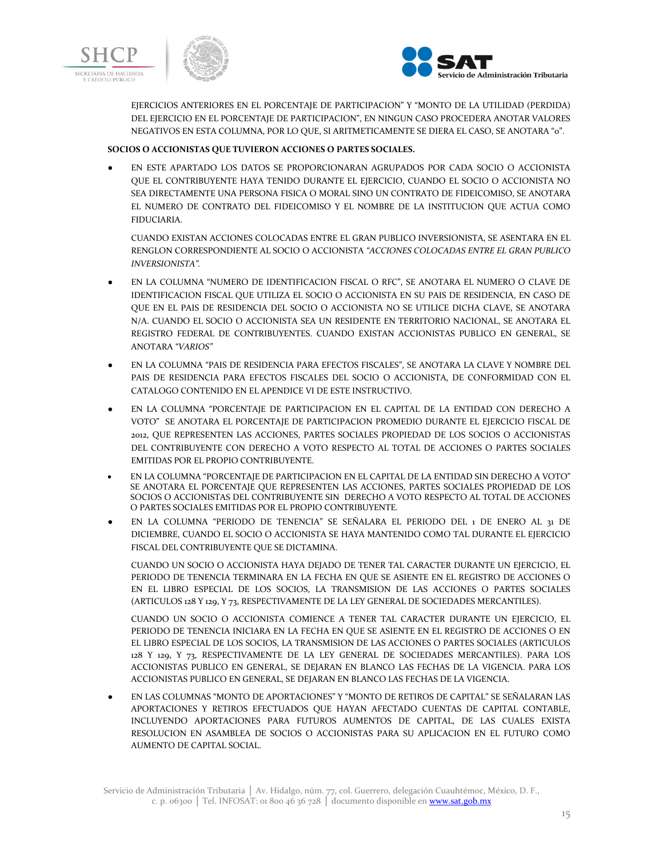



EJERCICIOS ANTERIORES EN EL PORCENTAJE DE PARTICIPACION" Y "MONTO DE LA UTILIDAD (PERDIDA) DEL EJERCICIO EN EL PORCENTAJE DE PARTICIPACION", EN NINGUN CASO PROCEDERA ANOTAR VALORES NEGATIVOS EN ESTA COLUMNA, POR LO QUE, SI ARITMETICAMENTE SE DIERA EL CASO, SE ANOTARA "0".

# **SOCIOS O ACCIONISTAS QUE TUVIERON ACCIONES O PARTES SOCIALES.**

● EN ESTE APARTADO LOS DATOS SE PROPORCIONARAN AGRUPADOS POR CADA SOCIO O ACCIONISTA QUE EL CONTRIBUYENTE HAYA TENIDO DURANTE EL EJERCICIO, CUANDO EL SOCIO O ACCIONISTA NO SEA DIRECTAMENTE UNA PERSONA FISICA O MORAL SINO UN CONTRATO DE FIDEICOMISO, SE ANOTARA EL NUMERO DE CONTRATO DEL FIDEICOMISO Y EL NOMBRE DE LA INSTITUCION QUE ACTUA COMO FIDUCIARIA.

CUANDO EXISTAN ACCIONES COLOCADAS ENTRE EL GRAN PUBLICO INVERSIONISTA, SE ASENTARA EN EL RENGLON CORRESPONDIENTE AL SOCIO O ACCIONISTA *"ACCIONES COLOCADAS ENTRE EL GRAN PUBLICO INVERSIONISTA".*

- EN LA COLUMNA "NUMERO DE IDENTIFICACION FISCAL O RFC", SE ANOTARA EL NUMERO O CLAVE DE IDENTIFICACION FISCAL QUE UTILIZA EL SOCIO O ACCIONISTA EN SU PAIS DE RESIDENCIA, EN CASO DE QUE EN EL PAIS DE RESIDENCIA DEL SOCIO O ACCIONISTA NO SE UTILICE DICHA CLAVE, SE ANOTARA N/A. CUANDO EL SOCIO O ACCIONISTA SEA UN RESIDENTE EN TERRITORIO NACIONAL, SE ANOTARA EL REGISTRO FEDERAL DE CONTRIBUYENTES. CUANDO EXISTAN ACCIONISTAS PUBLICO EN GENERAL, SE ANOTARA *"VARIOS"*
- EN LA COLUMNA "PAIS DE RESIDENCIA PARA EFECTOS FISCALES", SE ANOTARA LA CLAVE Y NOMBRE DEL PAIS DE RESIDENCIA PARA EFECTOS FISCALES DEL SOCIO O ACCIONISTA, DE CONFORMIDAD CON EL CATALOGO CONTENIDO EN EL APENDICE VI DE ESTE INSTRUCTIVO.
- EN LA COLUMNA "PORCENTAJE DE PARTICIPACION EN EL CAPITAL DE LA ENTIDAD CON DERECHO A VOTO" SE ANOTARA EL PORCENTAJE DE PARTICIPACION PROMEDIO DURANTE EL EJERCICIO FISCAL DE 2012, QUE REPRESENTEN LAS ACCIONES, PARTES SOCIALES PROPIEDAD DE LOS SOCIOS O ACCIONISTAS DEL CONTRIBUYENTE CON DERECHO A VOTO RESPECTO AL TOTAL DE ACCIONES O PARTES SOCIALES EMITIDAS POR EL PROPIO CONTRIBUYENTE.
- EN LA COLUMNA "PORCENTAJE DE PARTICIPACION EN EL CAPITAL DE LA ENTIDAD SIN DERECHO A VOTO" SE ANOTARA EL PORCENTAJE QUE REPRESENTEN LAS ACCIONES, PARTES SOCIALES PROPIEDAD DE LOS SOCIOS O ACCIONISTAS DEL CONTRIBUYENTE SIN DERECHO A VOTO RESPECTO AL TOTAL DE ACCIONES O PARTES SOCIALES EMITIDAS POR EL PROPIO CONTRIBUYENTE.
- EN LA COLUMNA "PERIODO DE TENENCIA" SE SEÑALARA EL PERIODO DEL 1 DE ENERO AL 31 DE DICIEMBRE, CUANDO EL SOCIO O ACCIONISTA SE HAYA MANTENIDO COMO TAL DURANTE EL EJERCICIO FISCAL DEL CONTRIBUYENTE QUE SE DICTAMINA.

CUANDO UN SOCIO O ACCIONISTA HAYA DEJADO DE TENER TAL CARACTER DURANTE UN EJERCICIO, EL PERIODO DE TENENCIA TERMINARA EN LA FECHA EN QUE SE ASIENTE EN EL REGISTRO DE ACCIONES O EN EL LIBRO ESPECIAL DE LOS SOCIOS, LA TRANSMISION DE LAS ACCIONES O PARTES SOCIALES (ARTICULOS 128 Y 129, Y 73, RESPECTIVAMENTE DE LA LEY GENERAL DE SOCIEDADES MERCANTILES).

CUANDO UN SOCIO O ACCIONISTA COMIENCE A TENER TAL CARACTER DURANTE UN EJERCICIO, EL PERIODO DE TENENCIA INICIARA EN LA FECHA EN QUE SE ASIENTE EN EL REGISTRO DE ACCIONES O EN EL LIBRO ESPECIAL DE LOS SOCIOS, LA TRANSMISION DE LAS ACCIONES O PARTES SOCIALES (ARTICULOS 128 Y 129, Y 73, RESPECTIVAMENTE DE LA LEY GENERAL DE SOCIEDADES MERCANTILES). PARA LOS ACCIONISTAS PUBLICO EN GENERAL, SE DEJARAN EN BLANCO LAS FECHAS DE LA VIGENCIA. PARA LOS ACCIONISTAS PUBLICO EN GENERAL, SE DEJARAN EN BLANCO LAS FECHAS DE LA VIGENCIA.

● EN LAS COLUMNAS "MONTO DE APORTACIONES" Y "MONTO DE RETIROS DE CAPITAL" SE SEÑALARAN LAS APORTACIONES Y RETIROS EFECTUADOS QUE HAYAN AFECTADO CUENTAS DE CAPITAL CONTABLE, INCLUYENDO APORTACIONES PARA FUTUROS AUMENTOS DE CAPITAL, DE LAS CUALES EXISTA RESOLUCION EN ASAMBLEA DE SOCIOS O ACCIONISTAS PARA SU APLICACION EN EL FUTURO COMO AUMENTO DE CAPITAL SOCIAL.

Servicio de Administración Tributaria │ Av. Hidalgo, núm. 77, col. Guerrero, delegación Cuauhtémoc, México, D. F., c. p. 06300 | Tel. INFOSAT: 01 800 46 36 728 | documento disponible en www.sat.gob.mx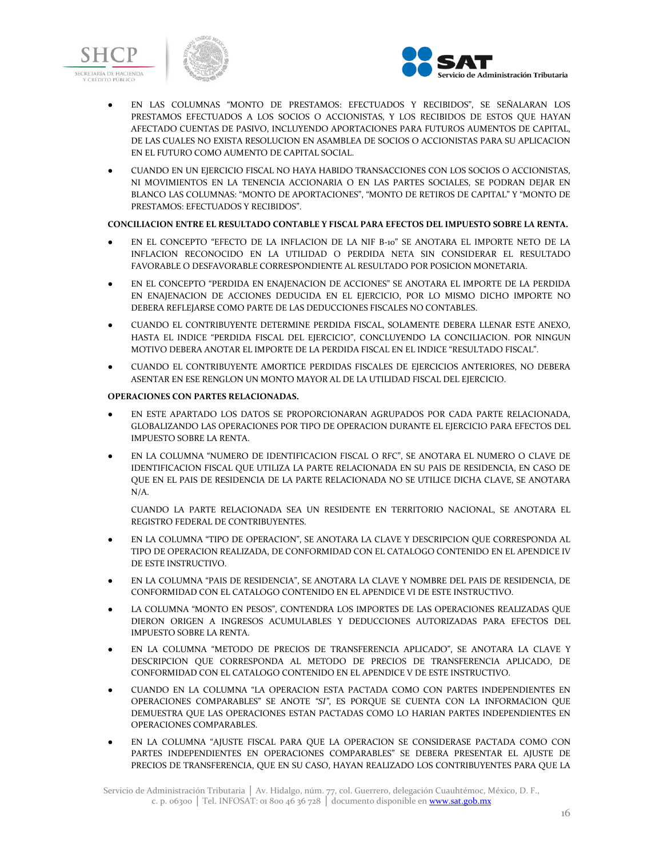



- EN LAS COLUMNAS "MONTO DE PRESTAMOS: EFECTUADOS Y RECIBIDOS", SE SEÑALARAN LOS PRESTAMOS EFECTUADOS A LOS SOCIOS O ACCIONISTAS, Y LOS RECIBIDOS DE ESTOS QUE HAYAN AFECTADO CUENTAS DE PASIVO, INCLUYENDO APORTACIONES PARA FUTUROS AUMENTOS DE CAPITAL, DE LAS CUALES NO EXISTA RESOLUCION EN ASAMBLEA DE SOCIOS O ACCIONISTAS PARA SU APLICACION EN EL FUTURO COMO AUMENTO DE CAPITAL SOCIAL.
- CUANDO EN UN EJERCICIO FISCAL NO HAYA HABIDO TRANSACCIONES CON LOS SOCIOS O ACCIONISTAS, NI MOVIMIENTOS EN LA TENENCIA ACCIONARIA O EN LAS PARTES SOCIALES, SE PODRAN DEJAR EN BLANCO LAS COLUMNAS: "MONTO DE APORTACIONES", "MONTO DE RETIROS DE CAPITAL" Y "MONTO DE PRESTAMOS: EFECTUADOS Y RECIBIDOS".

# **CONCILIACION ENTRE EL RESULTADO CONTABLE Y FISCAL PARA EFECTOS DEL IMPUESTO SOBRE LA RENTA.**

- EN EL CONCEPTO "EFECTO DE LA INFLACION DE LA NIF B-10" SE ANOTARA EL IMPORTE NETO DE LA INFLACION RECONOCIDO EN LA UTILIDAD O PERDIDA NETA SIN CONSIDERAR EL RESULTADO FAVORABLE O DESFAVORABLE CORRESPONDIENTE AL RESULTADO POR POSICION MONETARIA.
- EN EL CONCEPTO "PERDIDA EN ENAJENACION DE ACCIONES" SE ANOTARA EL IMPORTE DE LA PERDIDA EN ENAJENACION DE ACCIONES DEDUCIDA EN EL EJERCICIO, POR LO MISMO DICHO IMPORTE NO DEBERA REFLEJARSE COMO PARTE DE LAS DEDUCCIONES FISCALES NO CONTABLES.
- CUANDO EL CONTRIBUYENTE DETERMINE PERDIDA FISCAL, SOLAMENTE DEBERA LLENAR ESTE ANEXO, HASTA EL INDICE "PERDIDA FISCAL DEL EJERCICIO", CONCLUYENDO LA CONCILIACION. POR NINGUN MOTIVO DEBERA ANOTAR EL IMPORTE DE LA PERDIDA FISCAL EN EL INDICE "RESULTADO FISCAL".
- CUANDO EL CONTRIBUYENTE AMORTICE PERDIDAS FISCALES DE EJERCICIOS ANTERIORES, NO DEBERA ASENTAR EN ESE RENGLON UN MONTO MAYOR AL DE LA UTILIDAD FISCAL DEL EJERCICIO.

### **OPERACIONES CON PARTES RELACIONADAS.**

- EN ESTE APARTADO LOS DATOS SE PROPORCIONARAN AGRUPADOS POR CADA PARTE RELACIONADA, GLOBALIZANDO LAS OPERACIONES POR TIPO DE OPERACION DURANTE EL EJERCICIO PARA EFECTOS DEL IMPUESTO SOBRE LA RENTA.
- EN LA COLUMNA "NUMERO DE IDENTIFICACION FISCAL O RFC", SE ANOTARA EL NUMERO O CLAVE DE IDENTIFICACION FISCAL QUE UTILIZA LA PARTE RELACIONADA EN SU PAIS DE RESIDENCIA, EN CASO DE QUE EN EL PAIS DE RESIDENCIA DE LA PARTE RELACIONADA NO SE UTILICE DICHA CLAVE, SE ANOTARA N/A.

CUANDO LA PARTE RELACIONADA SEA UN RESIDENTE EN TERRITORIO NACIONAL, SE ANOTARA EL REGISTRO FEDERAL DE CONTRIBUYENTES.

- EN LA COLUMNA "TIPO DE OPERACION", SE ANOTARA LA CLAVE Y DESCRIPCION QUE CORRESPONDA AL TIPO DE OPERACION REALIZADA, DE CONFORMIDAD CON EL CATALOGO CONTENIDO EN EL APENDICE IV DE ESTE INSTRUCTIVO.
- EN LA COLUMNA "PAIS DE RESIDENCIA", SE ANOTARA LA CLAVE Y NOMBRE DEL PAIS DE RESIDENCIA, DE CONFORMIDAD CON EL CATALOGO CONTENIDO EN EL APENDICE VI DE ESTE INSTRUCTIVO.
- LA COLUMNA "MONTO EN PESOS", CONTENDRA LOS IMPORTES DE LAS OPERACIONES REALIZADAS QUE DIERON ORIGEN A INGRESOS ACUMULABLES Y DEDUCCIONES AUTORIZADAS PARA EFECTOS DEL IMPUESTO SOBRE LA RENTA.
- EN LA COLUMNA "METODO DE PRECIOS DE TRANSFERENCIA APLICADO", SE ANOTARA LA CLAVE Y DESCRIPCION QUE CORRESPONDA AL METODO DE PRECIOS DE TRANSFERENCIA APLICADO, DE CONFORMIDAD CON EL CATALOGO CONTENIDO EN EL APENDICE V DE ESTE INSTRUCTIVO.
- CUANDO EN LA COLUMNA "LA OPERACION ESTA PACTADA COMO CON PARTES INDEPENDIENTES EN OPERACIONES COMPARABLES" SE ANOTE *"SI"*, ES PORQUE SE CUENTA CON LA INFORMACION QUE DEMUESTRA QUE LAS OPERACIONES ESTAN PACTADAS COMO LO HARIAN PARTES INDEPENDIENTES EN OPERACIONES COMPARABLES.
- EN LA COLUMNA "AJUSTE FISCAL PARA QUE LA OPERACION SE CONSIDERASE PACTADA COMO CON PARTES INDEPENDIENTES EN OPERACIONES COMPARABLES" SE DEBERA PRESENTAR EL AJUSTE DE PRECIOS DE TRANSFERENCIA, QUE EN SU CASO, HAYAN REALIZADO LOS CONTRIBUYENTES PARA QUE LA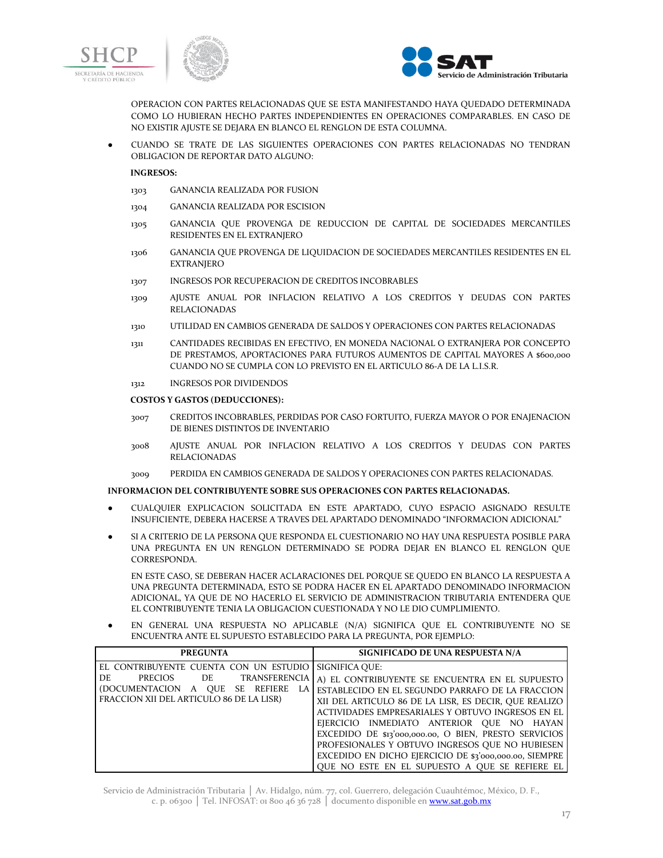





OPERACION CON PARTES RELACIONADAS QUE SE ESTA MANIFESTANDO HAYA QUEDADO DETERMINADA COMO LO HUBIERAN HECHO PARTES INDEPENDIENTES EN OPERACIONES COMPARABLES. EN CASO DE NO EXISTIR AJUSTE SE DEJARA EN BLANCO EL RENGLON DE ESTA COLUMNA.

● CUANDO SE TRATE DE LAS SIGUIENTES OPERACIONES CON PARTES RELACIONADAS NO TENDRAN OBLIGACION DE REPORTAR DATO ALGUNO:

# **INGRESOS:**

- 1303 GANANCIA REALIZADA POR FUSION
- 1304 GANANCIA REALIZADA POR ESCISION
- 1305 GANANCIA QUE PROVENGA DE REDUCCION DE CAPITAL DE SOCIEDADES MERCANTILES RESIDENTES EN EL EXTRANJERO
- 1306 GANANCIA QUE PROVENGA DE LIQUIDACION DE SOCIEDADES MERCANTILES RESIDENTES EN EL EXTRANJERO
- 1307 INGRESOS POR RECUPERACION DE CREDITOS INCOBRABLES
- 1309 AJUSTE ANUAL POR INFLACION RELATIVO A LOS CREDITOS Y DEUDAS CON PARTES RELACIONADAS
- 1310 UTILIDAD EN CAMBIOS GENERADA DE SALDOS Y OPERACIONES CON PARTES RELACIONADAS
- 1311 CANTIDADES RECIBIDAS EN EFECTIVO, EN MONEDA NACIONAL O EXTRANJERA POR CONCEPTO DE PRESTAMOS, APORTACIONES PARA FUTUROS AUMENTOS DE CAPITAL MAYORES A \$600,000 CUANDO NO SE CUMPLA CON LO PREVISTO EN EL ARTICULO 86-A DE LA L.I.S.R.
- 1312 INGRESOS POR DIVIDENDOS

#### **COSTOS Y GASTOS (DEDUCCIONES):**

- 3007 CREDITOS INCOBRABLES, PERDIDAS POR CASO FORTUITO, FUERZA MAYOR O POR ENAJENACION DE BIENES DISTINTOS DE INVENTARIO
- 3008 AJUSTE ANUAL POR INFLACION RELATIVO A LOS CREDITOS Y DEUDAS CON PARTES RELACIONADAS
- 3009 PERDIDA EN CAMBIOS GENERADA DE SALDOS Y OPERACIONES CON PARTES RELACIONADAS.

#### **INFORMACION DEL CONTRIBUYENTE SOBRE SUS OPERACIONES CON PARTES RELACIONADAS.**

- CUALQUIER EXPLICACION SOLICITADA EN ESTE APARTADO, CUYO ESPACIO ASIGNADO RESULTE INSUFICIENTE, DEBERA HACERSE A TRAVES DEL APARTADO DENOMINADO "INFORMACION ADICIONAL"
- SI A CRITERIO DE LA PERSONA QUE RESPONDA EL CUESTIONARIO NO HAY UNA RESPUESTA POSIBLE PARA UNA PREGUNTA EN UN RENGLON DETERMINADO SE PODRA DEJAR EN BLANCO EL RENGLON QUE CORRESPONDA.

EN ESTE CASO, SE DEBERAN HACER ACLARACIONES DEL PORQUE SE QUEDO EN BLANCO LA RESPUESTA A UNA PREGUNTA DETERMINADA, ESTO SE PODRA HACER EN EL APARTADO DENOMINADO INFORMACION ADICIONAL, YA QUE DE NO HACERLO EL SERVICIO DE ADMINISTRACION TRIBUTARIA ENTENDERA QUE EL CONTRIBUYENTE TENIA LA OBLIGACION CUESTIONADA Y NO LE DIO CUMPLIMIENTO.

● EN GENERAL UNA RESPUESTA NO APLICABLE (N/A) SIGNIFICA QUE EL CONTRIBUYENTE NO SE ENCUENTRA ANTE EL SUPUESTO ESTABLECIDO PARA LA PREGUNTA, POR EJEMPLO:

| <b>PREGUNTA</b>                                                                                                                                                   | SIGNIFICADO DE UNA RESPUESTA N/A                                                                                                                                                                                                                                                 |
|-------------------------------------------------------------------------------------------------------------------------------------------------------------------|----------------------------------------------------------------------------------------------------------------------------------------------------------------------------------------------------------------------------------------------------------------------------------|
| EL CONTRIBUYENTE CUENTA CON UN ESTUDIO<br>TRANSFERENCIA<br>PRECIOS<br>DE.<br>DE DE<br>(DOCUMENTACION A OUE SE REFIERE<br>FRACCION XII DEL ARTICULO 86 DE LA LISR) | SIGNIFICA OUE:<br>A) EL CONTRIBUYENTE SE ENCUENTRA EN EL SUPUESTO<br>ESTABLECIDO EN EL SEGUNDO PARRAFO DE LA FRACCION<br>XII DEL ARTICULO 86 DE LA LISR, ES DECIR, QUE REALIZO<br>ACTIVIDADES EMPRESARIALES Y OBTUVO INGRESOS EN EL<br>EJERCICIO INMEDIATO ANTERIOR QUE NO HAYAN |
|                                                                                                                                                                   | EXCEDIDO DE \$13'000,000.00, O BIEN, PRESTO SERVICIOS<br>PROFESIONALES Y OBTUVO INGRESOS QUE NO HUBIESEN<br>EXCEDIDO EN DICHO EJERCICIO DE \$3'000,000.00, SIEMPRE<br>QUE NO ESTE EN EL SUPUESTO A QUE SE REFIERE EL                                                             |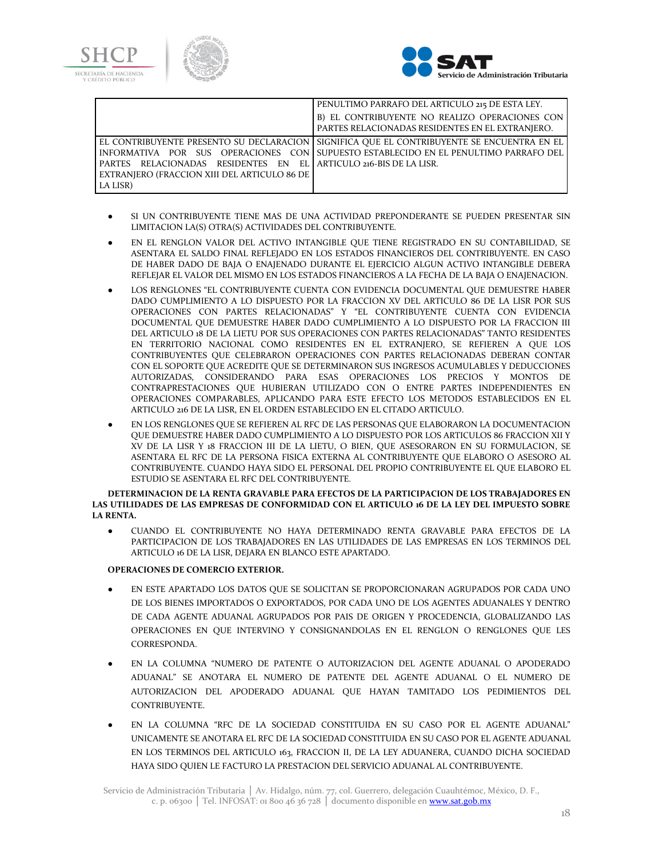



|                                                                                                                                 | PENULTIMO PARRAFO DEL ARTICULO 215 DE ESTA LEY.                                                                                                                                      |
|---------------------------------------------------------------------------------------------------------------------------------|--------------------------------------------------------------------------------------------------------------------------------------------------------------------------------------|
|                                                                                                                                 | B) EL CONTRIBUYENTE NO REALIZO OPERACIONES CON<br>PARTES RELACIONADAS RESIDENTES EN EL EXTRANJERO.                                                                                   |
| PARTES RELACIONADAS RESIDENTES EN EL ARTICULO 216-BIS DE LA LISR.<br>EXTRANIERO (FRACCION XIII DEL ARTICULO 86 DE  <br>LA LISR) | EL CONTRIBUYENTE PRESENTO SU DECLARACION   SIGNIFICA QUE EL CONTRIBUYENTE SE ENCUENTRA EN EL<br>INFORMATIVA POR SUS OPERACIONES CON SUPUESTO ESTABLECIDO EN EL PENULTIMO PARRAFO DEL |

- SI UN CONTRIBUYENTE TIENE MAS DE UNA ACTIVIDAD PREPONDERANTE SE PUEDEN PRESENTAR SIN LIMITACION LA(S) OTRA(S) ACTIVIDADES DEL CONTRIBUYENTE.
- EN EL RENGLON VALOR DEL ACTIVO INTANGIBLE QUE TIENE REGISTRADO EN SU CONTABILIDAD, SE ASENTARA EL SALDO FINAL REFLEJADO EN LOS ESTADOS FINANCIEROS DEL CONTRIBUYENTE. EN CASO DE HABER DADO DE BAJA O ENAJENADO DURANTE EL EJERCICIO ALGUN ACTIVO INTANGIBLE DEBERA REFLEJAR EL VALOR DEL MISMO EN LOS ESTADOS FINANCIEROS A LA FECHA DE LA BAJA O ENAJENACION.
- LOS RENGLONES "EL CONTRIBUYENTE CUENTA CON EVIDENCIA DOCUMENTAL QUE DEMUESTRE HABER DADO CUMPLIMIENTO A LO DISPUESTO POR LA FRACCION XV DEL ARTICULO 86 DE LA LISR POR SUS OPERACIONES CON PARTES RELACIONADAS" Y "EL CONTRIBUYENTE CUENTA CON EVIDENCIA DOCUMENTAL QUE DEMUESTRE HABER DADO CUMPLIMIENTO A LO DISPUESTO POR LA FRACCION III DEL ARTICULO 18 DE LA LIETU POR SUS OPERACIONES CON PARTES RELACIONADAS" TANTO RESIDENTES EN TERRITORIO NACIONAL COMO RESIDENTES EN EL EXTRANJERO, SE REFIEREN A QUE LOS CONTRIBUYENTES QUE CELEBRARON OPERACIONES CON PARTES RELACIONADAS DEBERAN CONTAR CON EL SOPORTE QUE ACREDITE QUE SE DETERMINARON SUS INGRESOS ACUMULABLES Y DEDUCCIONES AUTORIZADAS, CONSIDERANDO PARA ESAS OPERACIONES LOS PRECIOS Y MONTOS DE CONTRAPRESTACIONES QUE HUBIERAN UTILIZADO CON O ENTRE PARTES INDEPENDIENTES EN OPERACIONES COMPARABLES, APLICANDO PARA ESTE EFECTO LOS METODOS ESTABLECIDOS EN EL ARTICULO 216 DE LA LISR, EN EL ORDEN ESTABLECIDO EN EL CITADO ARTICULO.
- EN LOS RENGLONES QUE SE REFIEREN AL RFC DE LAS PERSONAS QUE ELABORARON LA DOCUMENTACION QUE DEMUESTRE HABER DADO CUMPLIMIENTO A LO DISPUESTO POR LOS ARTICULOS 86 FRACCION XII Y XV DE LA LISR Y 18 FRACCION III DE LA LIETU, O BIEN, QUE ASESORARON EN SU FORMULACION, SE ASENTARA EL RFC DE LA PERSONA FISICA EXTERNA AL CONTRIBUYENTE QUE ELABORO O ASESORO AL CONTRIBUYENTE. CUANDO HAYA SIDO EL PERSONAL DEL PROPIO CONTRIBUYENTE EL QUE ELABORO EL ESTUDIO SE ASENTARA EL RFC DEL CONTRIBUYENTE.

**DETERMINACION DE LA RENTA GRAVABLE PARA EFECTOS DE LA PARTICIPACION DE LOS TRABAJADORES EN LAS UTILIDADES DE LAS EMPRESAS DE CONFORMIDAD CON EL ARTICULO 16 DE LA LEY DEL IMPUESTO SOBRE LA RENTA.**

● CUANDO EL CONTRIBUYENTE NO HAYA DETERMINADO RENTA GRAVABLE PARA EFECTOS DE LA PARTICIPACION DE LOS TRABAJADORES EN LAS UTILIDADES DE LAS EMPRESAS EN LOS TERMINOS DEL ARTICULO 16 DE LA LISR, DEJARA EN BLANCO ESTE APARTADO.

# **OPERACIONES DE COMERCIO EXTERIOR.**

- EN ESTE APARTADO LOS DATOS QUE SE SOLICITAN SE PROPORCIONARAN AGRUPADOS POR CADA UNO DE LOS BIENES IMPORTADOS O EXPORTADOS, POR CADA UNO DE LOS AGENTES ADUANALES Y DENTRO DE CADA AGENTE ADUANAL AGRUPADOS POR PAIS DE ORIGEN Y PROCEDENCIA, GLOBALIZANDO LAS OPERACIONES EN QUE INTERVINO Y CONSIGNANDOLAS EN EL RENGLON O RENGLONES QUE LES CORRESPONDA.
- EN LA COLUMNA "NUMERO DE PATENTE O AUTORIZACION DEL AGENTE ADUANAL O APODERADO ADUANAL" SE ANOTARA EL NUMERO DE PATENTE DEL AGENTE ADUANAL O EL NUMERO DE AUTORIZACION DEL APODERADO ADUANAL QUE HAYAN TAMITADO LOS PEDIMIENTOS DEL CONTRIBUYENTE.
- EN LA COLUMNA "RFC DE LA SOCIEDAD CONSTITUIDA EN SU CASO POR EL AGENTE ADUANAL" UNICAMENTE SE ANOTARA EL RFC DE LA SOCIEDAD CONSTITUIDA EN SU CASO POR EL AGENTE ADUANAL EN LOS TERMINOS DEL ARTICULO 163, FRACCION II, DE LA LEY ADUANERA, CUANDO DICHA SOCIEDAD HAYA SIDO QUIEN LE FACTURO LA PRESTACION DEL SERVICIO ADUANAL AL CONTRIBUYENTE.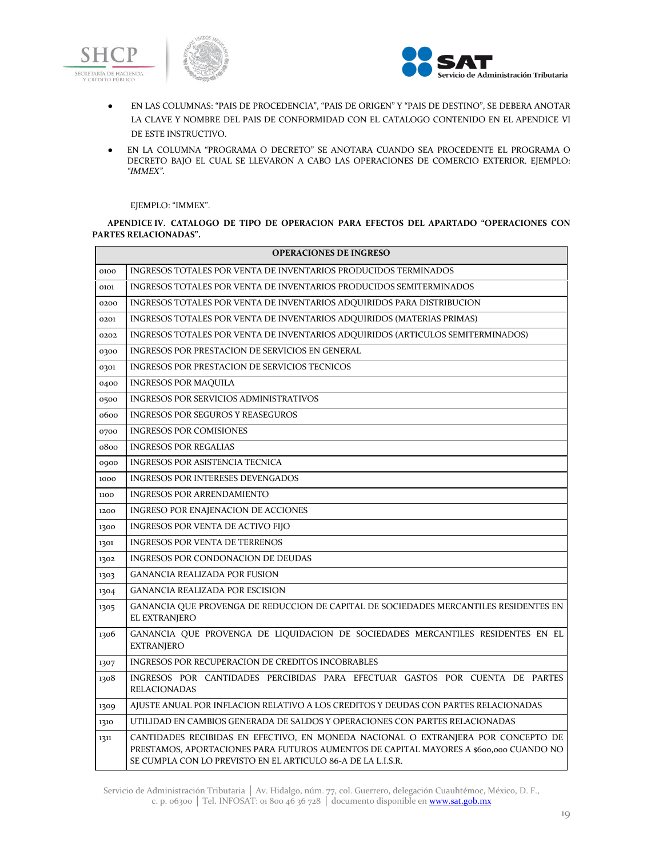



- EN LAS COLUMNAS: "PAIS DE PROCEDENCIA", "PAIS DE ORIGEN" Y "PAIS DE DESTINO", SE DEBERA ANOTAR LA CLAVE Y NOMBRE DEL PAIS DE CONFORMIDAD CON EL CATALOGO CONTENIDO EN EL APENDICE VI DE ESTE INSTRUCTIVO.
- EN LA COLUMNA "PROGRAMA O DECRETO" SE ANOTARA CUANDO SEA PROCEDENTE EL PROGRAMA O DECRETO BAJO EL CUAL SE LLEVARON A CABO LAS OPERACIONES DE COMERCIO EXTERIOR. EJEMPLO: *"IMMEX"*.

#### EJEMPLO: "IMMEX".

**APENDICE IV. CATALOGO DE TIPO DE OPERACION PARA EFECTOS DEL APARTADO "OPERACIONES CON PARTES RELACIONADAS".**

| <b>OPERACIONES DE INGRESO</b> |                                                                                                                                                                                                                                             |  |
|-------------------------------|---------------------------------------------------------------------------------------------------------------------------------------------------------------------------------------------------------------------------------------------|--|
| 0100                          | INGRESOS TOTALES POR VENTA DE INVENTARIOS PRODUCIDOS TERMINADOS                                                                                                                                                                             |  |
| 0101                          | INGRESOS TOTALES POR VENTA DE INVENTARIOS PRODUCIDOS SEMITERMINADOS                                                                                                                                                                         |  |
| 0200                          | INGRESOS TOTALES POR VENTA DE INVENTARIOS ADQUIRIDOS PARA DISTRIBUCION                                                                                                                                                                      |  |
| 0201                          | INGRESOS TOTALES POR VENTA DE INVENTARIOS ADQUIRIDOS (MATERIAS PRIMAS)                                                                                                                                                                      |  |
| 0202                          | INGRESOS TOTALES POR VENTA DE INVENTARIOS ADQUIRIDOS (ARTICULOS SEMITERMINADOS)                                                                                                                                                             |  |
| 0300                          | INGRESOS POR PRESTACION DE SERVICIOS EN GENERAL                                                                                                                                                                                             |  |
| 0301                          | INGRESOS POR PRESTACION DE SERVICIOS TECNICOS                                                                                                                                                                                               |  |
| 0400                          | <b>INGRESOS POR MAQUILA</b>                                                                                                                                                                                                                 |  |
| 0500                          | INGRESOS POR SERVICIOS ADMINISTRATIVOS                                                                                                                                                                                                      |  |
| 0600                          | <b>INGRESOS POR SEGUROS Y REASEGUROS</b>                                                                                                                                                                                                    |  |
| 0700                          | <b>INGRESOS POR COMISIONES</b>                                                                                                                                                                                                              |  |
| 0800                          | <b>INGRESOS POR REGALIAS</b>                                                                                                                                                                                                                |  |
| 0900                          | INGRESOS POR ASISTENCIA TECNICA                                                                                                                                                                                                             |  |
| 1000                          | <b>INGRESOS POR INTERESES DEVENGADOS</b>                                                                                                                                                                                                    |  |
| 1100                          | <b>INGRESOS POR ARRENDAMIENTO</b>                                                                                                                                                                                                           |  |
| 1200                          | INGRESO POR ENAJENACION DE ACCIONES                                                                                                                                                                                                         |  |
| 1300                          | <b>INGRESOS POR VENTA DE ACTIVO FIJO</b>                                                                                                                                                                                                    |  |
| 1301                          | <b>INGRESOS POR VENTA DE TERRENOS</b>                                                                                                                                                                                                       |  |
| 1302                          | <b>INGRESOS POR CONDONACION DE DEUDAS</b>                                                                                                                                                                                                   |  |
| 1303                          | <b>GANANCIA REALIZADA POR FUSION</b>                                                                                                                                                                                                        |  |
| 1304                          | <b>GANANCIA REALIZADA POR ESCISION</b>                                                                                                                                                                                                      |  |
| 1305                          | GANANCIA QUE PROVENGA DE REDUCCION DE CAPITAL DE SOCIEDADES MERCANTILES RESIDENTES EN<br>EL EXTRANJERO                                                                                                                                      |  |
| 1306                          | GANANCIA QUE PROVENGA DE LIQUIDACION DE SOCIEDADES MERCANTILES RESIDENTES EN EL<br><b>EXTRANJERO</b>                                                                                                                                        |  |
| 1307                          | <b>INGRESOS POR RECUPERACION DE CREDITOS INCOBRABLES</b>                                                                                                                                                                                    |  |
| 1308                          | INGRESOS POR CANTIDADES PERCIBIDAS PARA EFECTUAR GASTOS POR CUENTA DE PARTES<br><b>RELACIONADAS</b>                                                                                                                                         |  |
| 1309                          | AJUSTE ANUAL POR INFLACION RELATIVO A LOS CREDITOS Y DEUDAS CON PARTES RELACIONADAS                                                                                                                                                         |  |
| 1310                          | UTILIDAD EN CAMBIOS GENERADA DE SALDOS Y OPERACIONES CON PARTES RELACIONADAS                                                                                                                                                                |  |
| 1311                          | CANTIDADES RECIBIDAS EN EFECTIVO, EN MONEDA NACIONAL O EXTRANJERA POR CONCEPTO DE<br>PRESTAMOS, APORTACIONES PARA FUTUROS AUMENTOS DE CAPITAL MAYORES A \$600,000 CUANDO NO<br>SE CUMPLA CON LO PREVISTO EN EL ARTICULO 86-A DE LA L.I.S.R. |  |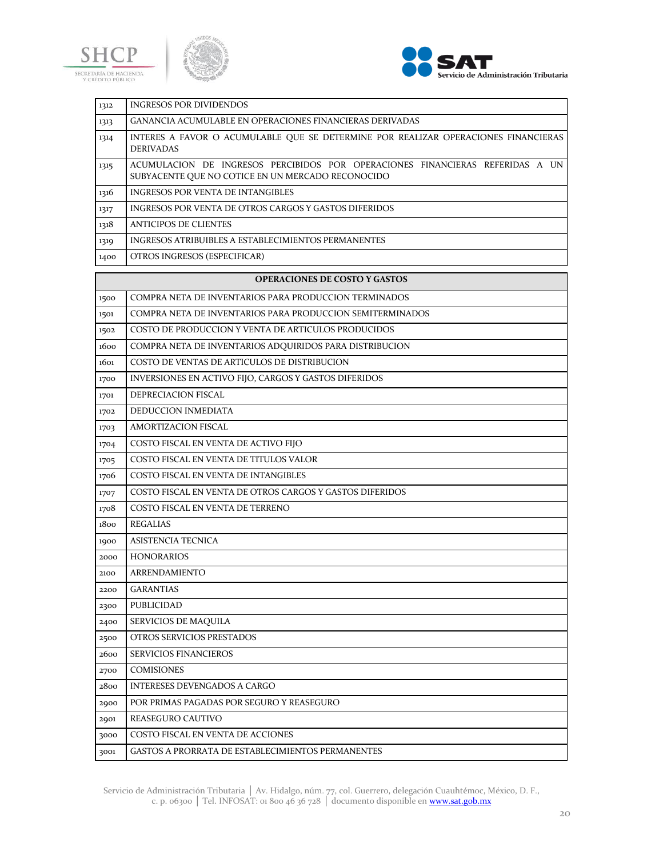





| 1312 | <b>INGRESOS POR DIVIDENDOS</b>                                                                                                     |
|------|------------------------------------------------------------------------------------------------------------------------------------|
| 1313 | <b>GANANCIA ACUMULABLE EN OPERACIONES FINANCIERAS DERIVADAS</b>                                                                    |
| 1314 | INTERES A FAVOR O ACUMULABLE QUE SE DETERMINE POR REALIZAR OPERACIONES FINANCIERAS<br><b>DERIVADAS</b>                             |
| 1315 | ACUMULACION DE INGRESOS PERCIBIDOS POR OPERACIONES FINANCIERAS REFERIDAS A UN<br>SUBYACENTE OUE NO COTICE EN UN MERCADO RECONOCIDO |
| 1316 | <b>INGRESOS POR VENTA DE INTANGIBLES</b>                                                                                           |
| 1317 | INGRESOS POR VENTA DE OTROS CARGOS Y GASTOS DIFERIDOS                                                                              |
| 1318 | <b>ANTICIPOS DE CLIENTES</b>                                                                                                       |
| 1319 | INGRESOS ATRIBUIBLES A ESTABLECIMIENTOS PERMANENTES                                                                                |
| 1400 | OTROS INGRESOS (ESPECIFICAR)                                                                                                       |

# **OPERACIONES DE COSTO Y GASTOS**

| 1500 | COMPRA NETA DE INVENTARIOS PARA PRODUCCION TERMINADOS     |
|------|-----------------------------------------------------------|
| 1501 | COMPRA NETA DE INVENTARIOS PARA PRODUCCION SEMITERMINADOS |
| 1502 | COSTO DE PRODUCCION Y VENTA DE ARTICULOS PRODUCIDOS       |
| 1600 | COMPRA NETA DE INVENTARIOS ADQUIRIDOS PARA DISTRIBUCION   |
| 1601 | COSTO DE VENTAS DE ARTICULOS DE DISTRIBUCION              |
| 1700 | INVERSIONES EN ACTIVO FIJO, CARGOS Y GASTOS DIFERIDOS     |
| 1701 | DEPRECIACION FISCAL                                       |
| 1702 | DEDUCCION INMEDIATA                                       |
| 1703 | <b>AMORTIZACION FISCAL</b>                                |
| 1704 | COSTO FISCAL EN VENTA DE ACTIVO FIJO                      |
| 1705 | COSTO FISCAL EN VENTA DE TITULOS VALOR                    |
| 1706 | COSTO FISCAL EN VENTA DE INTANGIBLES                      |
| 1707 | COSTO FISCAL EN VENTA DE OTROS CARGOS Y GASTOS DIFERIDOS  |
| 1708 | COSTO FISCAL EN VENTA DE TERRENO                          |
| 1800 | <b>REGALIAS</b>                                           |
| 1900 | <b>ASISTENCIA TECNICA</b>                                 |
| 2000 | <b>HONORARIOS</b>                                         |
| 2100 | <b>ARRENDAMIENTO</b>                                      |
| 2200 | <b>GARANTIAS</b>                                          |
| 2300 | PUBLICIDAD                                                |
| 2400 | SERVICIOS DE MAQUILA                                      |
| 2500 | OTROS SERVICIOS PRESTADOS                                 |
| 2600 | <b>SERVICIOS FINANCIEROS</b>                              |
| 2700 | <b>COMISIONES</b>                                         |
| 2800 | <b>INTERESES DEVENGADOS A CARGO</b>                       |
| 2900 | POR PRIMAS PAGADAS POR SEGURO Y REASEGURO                 |
| 2901 | REASEGURO CAUTIVO                                         |
| 3000 | COSTO FISCAL EN VENTA DE ACCIONES                         |
| 3001 | <b>GASTOS A PRORRATA DE ESTABLECIMIENTOS PERMANENTES</b>  |
|      |                                                           |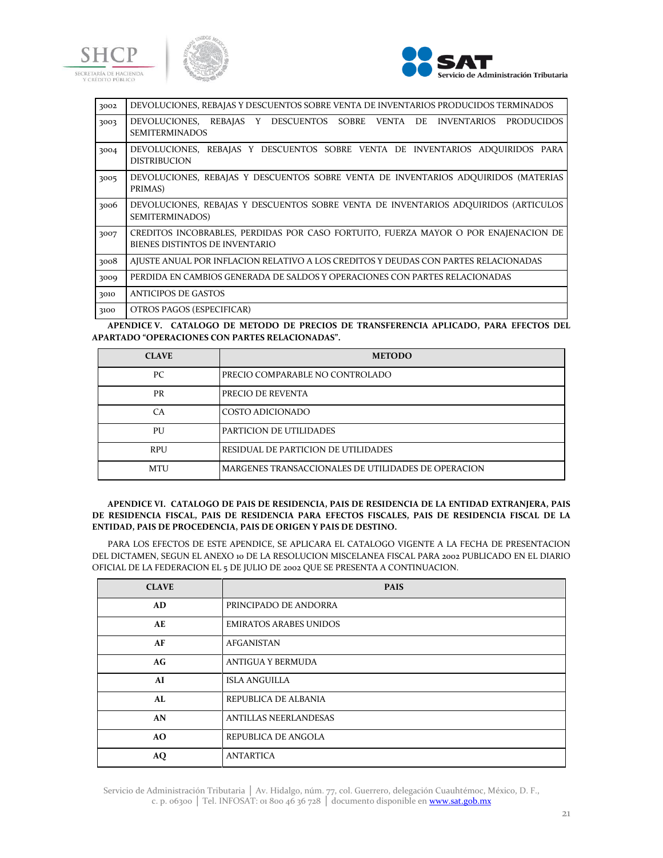





| REBAJAS Y DESCUENTOS SOBRE VENTA DE<br>DEVOLUCIONES,<br>INVENTARIOS PRODUCIDOS<br>3003<br><b>SEMITERMINADOS</b><br>DEVOLUCIONES, REBAJAS Y DESCUENTOS SOBRE VENTA DE INVENTARIOS ADQUIRIDOS PARA<br>3004<br><b>DISTRIBUCION</b><br>DEVOLUCIONES, REBAJAS Y DESCUENTOS SOBRE VENTA DE INVENTARIOS ADOUIRIDOS (MATERIAS<br>3005 |
|-------------------------------------------------------------------------------------------------------------------------------------------------------------------------------------------------------------------------------------------------------------------------------------------------------------------------------|
|                                                                                                                                                                                                                                                                                                                               |
|                                                                                                                                                                                                                                                                                                                               |
|                                                                                                                                                                                                                                                                                                                               |
| PRIMAS)                                                                                                                                                                                                                                                                                                                       |
| DEVOLUCIONES, REBAJAS Y DESCUENTOS SOBRE VENTA DE INVENTARIOS ADOUIRIDOS (ARTICULOS<br>3006<br><b>SEMITERMINADOS)</b>                                                                                                                                                                                                         |
| CREDITOS INCOBRABLES, PERDIDAS POR CASO FORTUITO, FUERZA MAYOR O POR ENAJENACION DE<br>3007<br>BIENES DISTINTOS DE INVENTARIO                                                                                                                                                                                                 |
| AJUSTE ANUAL POR INFLACION RELATIVO A LOS CREDITOS Y DEUDAS CON PARTES RELACIONADAS<br>3008                                                                                                                                                                                                                                   |
| PERDIDA EN CAMBIOS GENERADA DE SALDOS Y OPERACIONES CON PARTES RELACIONADAS<br>3009                                                                                                                                                                                                                                           |
| <b>ANTICIPOS DE GASTOS</b><br>3010                                                                                                                                                                                                                                                                                            |
| OTROS PAGOS (ESPECIFICAR)<br>3100                                                                                                                                                                                                                                                                                             |

**APENDICE V. CATALOGO DE METODO DE PRECIOS DE TRANSFERENCIA APLICADO, PARA EFECTOS DEL APARTADO "OPERACIONES CON PARTES RELACIONADAS".**

| <b>CLAVE</b> | <b>METODO</b>                                       |
|--------------|-----------------------------------------------------|
| PС           | PRECIO COMPARABLE NO CONTROLADO                     |
| PR           | PRECIO DE REVENTA                                   |
| CA           | COSTO ADICIONADO                                    |
| PU           | PARTICION DE UTILIDADES                             |
| <b>RPU</b>   | RESIDUAL DE PARTICION DE UTILIDADES                 |
| <b>MTU</b>   | MARGENES TRANSACCIONALES DE UTILIDADES DE OPERACION |

# **APENDICE VI. CATALOGO DE PAIS DE RESIDENCIA, PAIS DE RESIDENCIA DE LA ENTIDAD EXTRANJERA, PAIS DE RESIDENCIA FISCAL, PAIS DE RESIDENCIA PARA EFECTOS FISCALES, PAIS DE RESIDENCIA FISCAL DE LA ENTIDAD, PAIS DE PROCEDENCIA, PAIS DE ORIGEN Y PAIS DE DESTINO.**

PARA LOS EFECTOS DE ESTE APENDICE, SE APLICARA EL CATALOGO VIGENTE A LA FECHA DE PRESENTACION DEL DICTAMEN, SEGUN EL ANEXO 10 DE LA RESOLUCION MISCELANEA FISCAL PARA 2002 PUBLICADO EN EL DIARIO OFICIAL DE LA FEDERACION EL 5 DE JULIO DE 2002 QUE SE PRESENTA A CONTINUACION.

| <b>CLAVE</b> | <b>PAIS</b>                   |
|--------------|-------------------------------|
| AD           | PRINCIPADO DE ANDORRA         |
| AE           | <b>EMIRATOS ARABES UNIDOS</b> |
| AF           | <b>AFGANISTAN</b>             |
| AG           | <b>ANTIGUA Y BERMUDA</b>      |
| AI           | <b>ISLA ANGUILLA</b>          |
| AL           | REPUBLICA DE ALBANIA          |
| AN           | <b>ANTILLAS NEERLANDESAS</b>  |
| AO.          | REPUBLICA DE ANGOLA           |
| $\bf{AQ}$    | <b>ANTARTICA</b>              |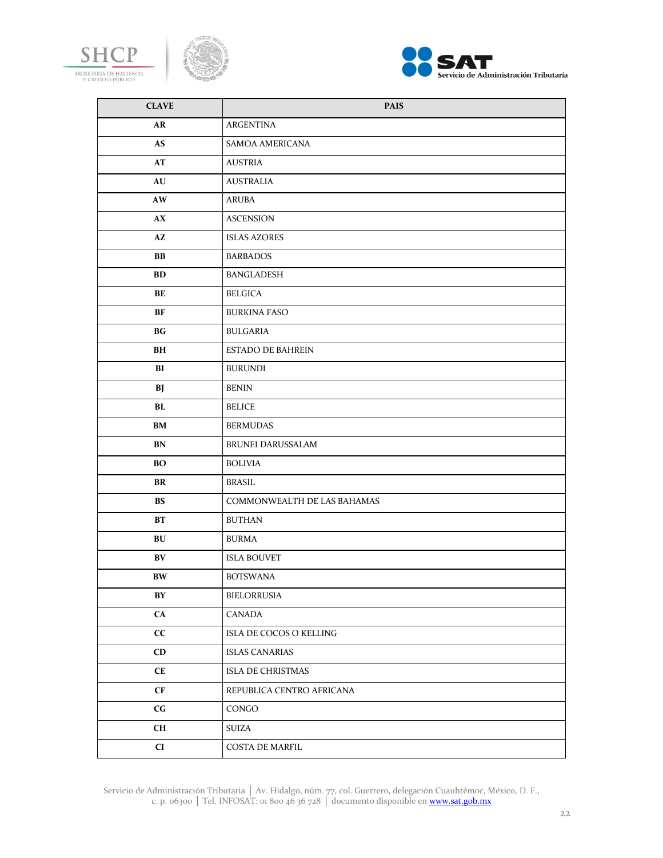





| <b>CLAVE</b>           | <b>PAIS</b>                 |
|------------------------|-----------------------------|
| AR                     | ARGENTINA                   |
| <b>AS</b>              | SAMOA AMERICANA             |
| AT                     | <b>AUSTRIA</b>              |
| AU                     | <b>AUSTRALIA</b>            |
| AW                     | ARUBA                       |
| AX                     | <b>ASCENSION</b>            |
| AZ                     | <b>ISLAS AZORES</b>         |
| ${\bf BB}$             | <b>BARBADOS</b>             |
| BD                     | BANGLADESH                  |
| BE                     | <b>BELGICA</b>              |
| BF                     | <b>BURKINA FASO</b>         |
| BG                     | <b>BULGARIA</b>             |
| BH                     | <b>ESTADO DE BAHREIN</b>    |
| BI                     | <b>BURUNDI</b>              |
| BJ                     | <b>BENIN</b>                |
| BL                     | <b>BELICE</b>               |
| BM                     | <b>BERMUDAS</b>             |
| BN                     | BRUNEI DARUSSALAM           |
| <b>BO</b>              | <b>BOLIVIA</b>              |
| BR                     | <b>BRASIL</b>               |
| <b>BS</b>              | COMMONWEALTH DE LAS BAHAMAS |
| BT                     | <b>BUTHAN</b>               |
| BU                     | <b>BURMA</b>                |
| BV                     | <b>ISLA BOUVET</b>          |
| <b>BW</b>              | <b>BOTSWANA</b>             |
| $\mathbf{B}\mathbf{Y}$ | BIELORRUSIA                 |
| CA                     | CANADA                      |
| cc                     | ISLA DE COCOS O KELLING     |
| CD                     | <b>ISLAS CANARIAS</b>       |
| CE                     | ISLA DE CHRISTMAS           |
| $\mathbf{C}\mathbf{F}$ | REPUBLICA CENTRO AFRICANA   |
| $\mathbf{C}\mathbf{G}$ | CONGO                       |
| CH                     | <b>SUIZA</b>                |
| CI                     | COSTA DE MARFIL             |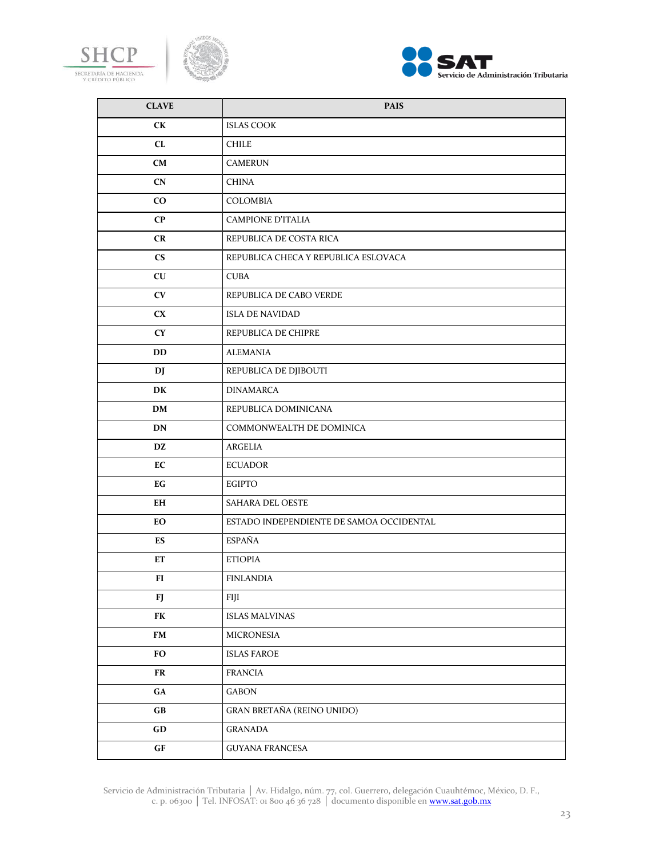





| <b>CLAVE</b>           | <b>PAIS</b>                              |
|------------------------|------------------------------------------|
| CK                     | <b>ISLAS COOK</b>                        |
| CL                     | <b>CHILE</b>                             |
| <b>CM</b>              | <b>CAMERUN</b>                           |
| CN                     | <b>CHINA</b>                             |
| $\rm{CO}$              | COLOMBIA                                 |
| $\bf CP$               | <b>CAMPIONE D'ITALIA</b>                 |
| CR                     | REPUBLICA DE COSTA RICA                  |
| $\mathbf{C}\mathbf{S}$ | REPUBLICA CHECA Y REPUBLICA ESLOVACA     |
| CU                     | <b>CUBA</b>                              |
| CV                     | REPUBLICA DE CABO VERDE                  |
| CX                     | <b>ISLA DE NAVIDAD</b>                   |
| <b>CY</b>              | REPUBLICA DE CHIPRE                      |
| DD                     | <b>ALEMANIA</b>                          |
| DJ                     | REPUBLICA DE DJIBOUTI                    |
| DK                     | <b>DINAMARCA</b>                         |
| <b>DM</b>              | REPUBLICA DOMINICANA                     |
| <b>DN</b>              | COMMONWEALTH DE DOMINICA                 |
| DZ                     | ARGELIA                                  |
| EC                     | <b>ECUADOR</b>                           |
| EG                     | <b>EGIPTO</b>                            |
| EH                     | SAHARA DEL OESTE                         |
| EО                     | ESTADO INDEPENDIENTE DE SAMOA OCCIDENTAL |
| ES                     | <b>ESPAÑA</b>                            |
| ET                     | <b>ETIOPIA</b>                           |
| FI                     | <b>FINLANDIA</b>                         |
| FJ                     | FIJI                                     |
| FK                     | <b>ISLAS MALVINAS</b>                    |
| ${\bf FM}$             | MICRONESIA                               |
| <b>FO</b>              | <b>ISLAS FAROE</b>                       |
| FR                     | <b>FRANCIA</b>                           |
| ${\bf G}{\bf A}$       | GABON                                    |
| $\mathbf{G}\mathbf{B}$ | GRAN BRETAÑA (REINO UNIDO)               |
| GD                     | <b>GRANADA</b>                           |
| GF                     | <b>GUYANA FRANCESA</b>                   |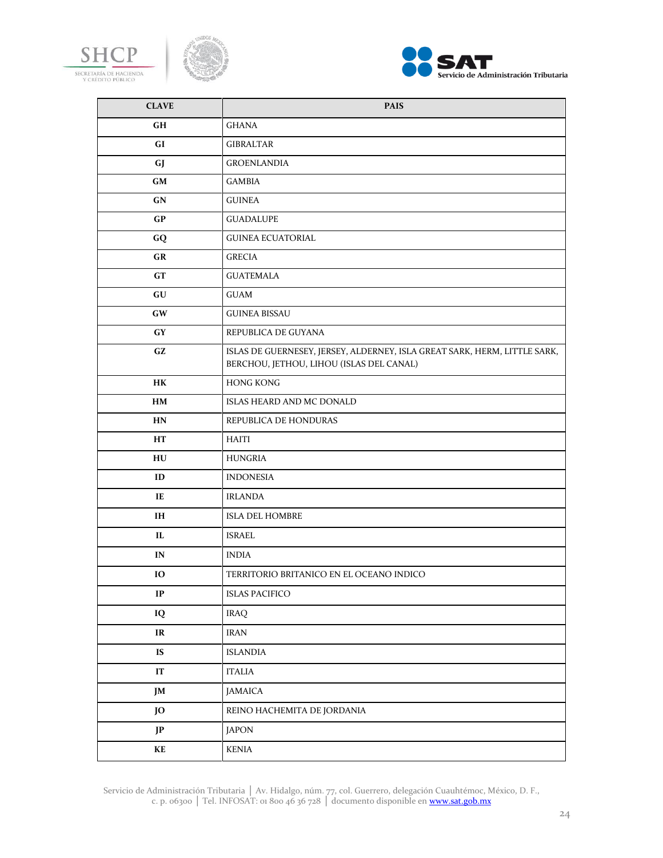





| <b>CLAVE</b>           | <b>PAIS</b>                                                                                                           |
|------------------------|-----------------------------------------------------------------------------------------------------------------------|
| GH                     | <b>GHANA</b>                                                                                                          |
| GI                     | GIBRALTAR                                                                                                             |
| <b>GJ</b>              | <b>GROENLANDIA</b>                                                                                                    |
| <b>GM</b>              | <b>GAMBIA</b>                                                                                                         |
| GN                     | <b>GUINEA</b>                                                                                                         |
| GP                     | <b>GUADALUPE</b>                                                                                                      |
| GQ                     | <b>GUINEA ECUATORIAL</b>                                                                                              |
| GR                     | <b>GRECIA</b>                                                                                                         |
| GT                     | <b>GUATEMALA</b>                                                                                                      |
| GU                     | GUAM                                                                                                                  |
| GW                     | <b>GUINEA BISSAU</b>                                                                                                  |
| GY                     | REPUBLICA DE GUYANA                                                                                                   |
| GZ                     | ISLAS DE GUERNESEY, JERSEY, ALDERNEY, ISLA GREAT SARK, HERM, LITTLE SARK,<br>BERCHOU, JETHOU, LIHOU (ISLAS DEL CANAL) |
| <b>HK</b>              | <b>HONG KONG</b>                                                                                                      |
| HM                     | ISLAS HEARD AND MC DONALD                                                                                             |
| HN                     | REPUBLICA DE HONDURAS                                                                                                 |
| HT                     | <b>HAITI</b>                                                                                                          |
| HU                     | <b>HUNGRIA</b>                                                                                                        |
| ID                     | <b>INDONESIA</b>                                                                                                      |
| IE                     | <b>IRLANDA</b>                                                                                                        |
| IH                     | <b>ISLA DEL HOMBRE</b>                                                                                                |
| IL                     | <b>ISRAEL</b>                                                                                                         |
| IN                     | <b>INDIA</b>                                                                                                          |
| IO                     | TERRITORIO BRITANICO EN EL OCEANO INDICO                                                                              |
| $\mathbf{IP}$          | <b>ISLAS PACIFICO</b>                                                                                                 |
| IQ                     | <b>IRAQ</b>                                                                                                           |
| IR                     | <b>IRAN</b>                                                                                                           |
| IS                     | <b>ISLANDIA</b>                                                                                                       |
| $\mathbf{I}\mathbf{T}$ | <b>ITALIA</b>                                                                                                         |
| JM                     | JAMAICA                                                                                                               |
| JO                     | REINO HACHEMITA DE JORDANIA                                                                                           |
| <b>JP</b>              | <b>JAPON</b>                                                                                                          |
| KE                     | KENIA                                                                                                                 |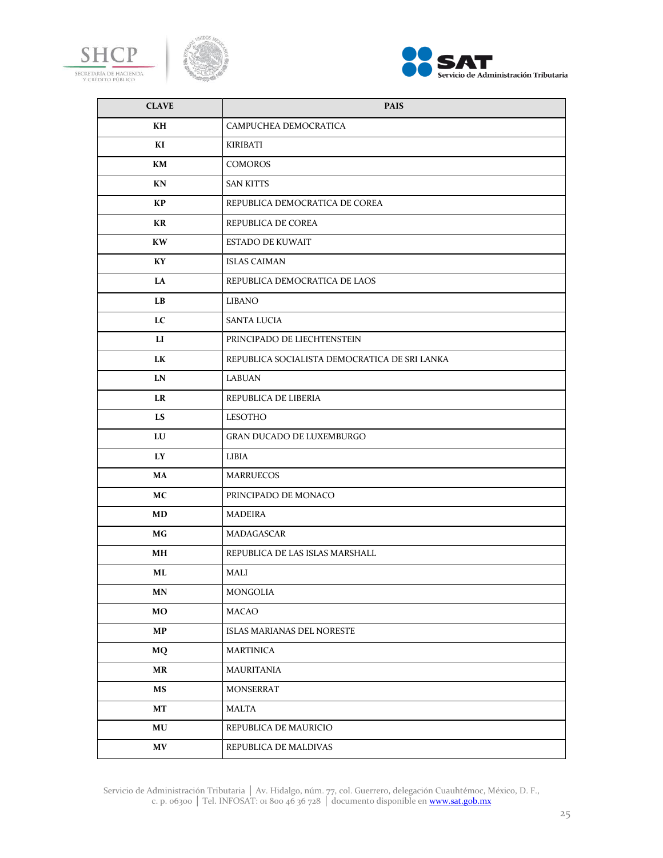





| <b>CLAVE</b>                      | <b>PAIS</b>                                   |
|-----------------------------------|-----------------------------------------------|
| KH                                | CAMPUCHEA DEMOCRATICA                         |
| KI                                | KIRIBATI                                      |
| KM                                | <b>COMOROS</b>                                |
| KN                                | <b>SAN KITTS</b>                              |
| KP                                | REPUBLICA DEMOCRATICA DE COREA                |
| KR                                | REPUBLICA DE COREA                            |
| <b>KW</b>                         | <b>ESTADO DE KUWAIT</b>                       |
| KY                                | <b>ISLAS CAIMAN</b>                           |
| LA                                | REPUBLICA DEMOCRATICA DE LAOS                 |
| $\mathbf{L}\mathbf{B}$            | LIBANO                                        |
| LC                                | SANTA LUCIA                                   |
| LI                                | PRINCIPADO DE LIECHTENSTEIN                   |
| LK                                | REPUBLICA SOCIALISTA DEMOCRATICA DE SRI LANKA |
| LN                                | LABUAN                                        |
| <b>LR</b>                         | REPUBLICA DE LIBERIA                          |
| <b>LS</b>                         | LESOTHO                                       |
| LU                                | GRAN DUCADO DE LUXEMBURGO                     |
| LY                                | LIBIA                                         |
| MA                                | <b>MARRUECOS</b>                              |
| <b>MC</b>                         | PRINCIPADO DE MONACO                          |
| MD                                | MADEIRA                                       |
| МG                                | MADAGASCAR                                    |
| MН                                | REPUBLICA DE LAS ISLAS MARSHALL               |
| ML                                | MALI                                          |
| <b>MN</b>                         | MONGOLIA                                      |
| MO                                | MACAO                                         |
| MP                                | ISLAS MARIANAS DEL NORESTE                    |
| MQ                                | <b>MARTINICA</b>                              |
| $\ensuremath{\mathbf{MR}}\xspace$ | MAURITANIA                                    |
| MS                                | <b>MONSERRAT</b>                              |
| $\bf{MT}$                         | MALTA                                         |
| $\bf MU$                          | REPUBLICA DE MAURICIO                         |
| $\boldsymbol{\mathrm{MV}}$        | REPUBLICA DE MALDIVAS                         |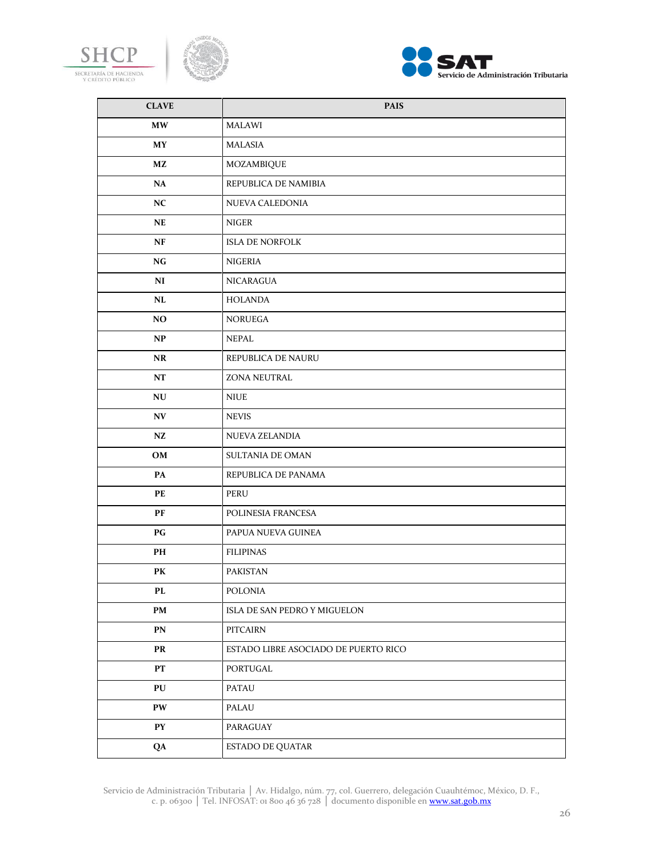





| <b>CLAVE</b>     | <b>PAIS</b>                          |
|------------------|--------------------------------------|
| <b>MW</b>        | MALAWI                               |
| <b>MY</b>        | MALASIA                              |
| MZ               | MOZAMBIQUE                           |
| NA               | REPUBLICA DE NAMIBIA                 |
| NC               | NUEVA CALEDONIA                      |
| NE               | NIGER                                |
| NF               | <b>ISLA DE NORFOLK</b>               |
| NG               | NIGERIA                              |
| NI               | NICARAGUA                            |
| NL               | <b>HOLANDA</b>                       |
| NO               | <b>NORUEGA</b>                       |
| NP               | <b>NEPAL</b>                         |
| <b>NR</b>        | REPUBLICA DE NAURU                   |
| NT               | ZONA NEUTRAL                         |
| NU               | <b>NIUE</b>                          |
| NV               | <b>NEVIS</b>                         |
| NZ               | NUEVA ZELANDIA                       |
| OM               | SULTANIA DE OMAN                     |
| PA               | REPUBLICA DE PANAMA                  |
| PE               | PERU                                 |
| PF               | POLINESIA FRANCESA                   |
| P G              | PAPUA NUEVA GUINEA                   |
| PH               | <b>FILIPINAS</b>                     |
| PK               | PAKISTAN                             |
| PL               | POLONIA                              |
| PM               | ISLA DE SAN PEDRO Y MIGUELON         |
| PN               | PITCAIRN                             |
| PR               | ESTADO LIBRE ASOCIADO DE PUERTO RICO |
| PT               | PORTUGAL                             |
| PU               | PATAU                                |
| PW               | PALAU                                |
| ${\bf P}{\bf Y}$ | PARAGUAY                             |
| QA               | ESTADO DE QUATAR                     |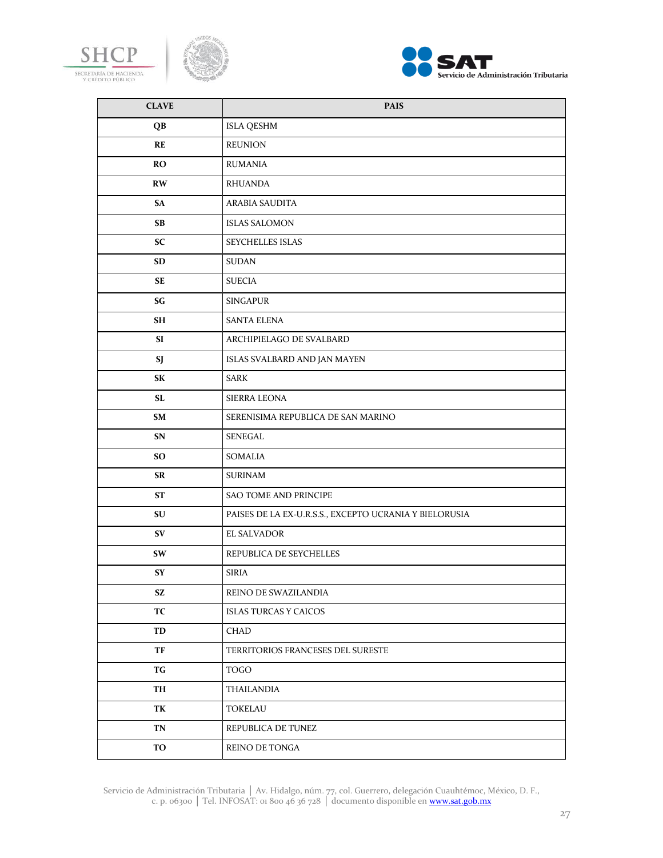





| <b>CLAVE</b> | <b>PAIS</b>                                            |
|--------------|--------------------------------------------------------|
| QB           | <b>ISLA QESHM</b>                                      |
| RE           | <b>REUNION</b>                                         |
| <b>RO</b>    | RUMANIA                                                |
| RW           | <b>RHUANDA</b>                                         |
| SA           | <b>ARABIA SAUDITA</b>                                  |
| <b>SB</b>    | <b>ISLAS SALOMON</b>                                   |
| <b>SC</b>    | SEYCHELLES ISLAS                                       |
| <b>SD</b>    | <b>SUDAN</b>                                           |
| SE           | <b>SUECIA</b>                                          |
| SG           | <b>SINGAPUR</b>                                        |
| SH           | <b>SANTA ELENA</b>                                     |
| SI           | ARCHIPIELAGO DE SVALBARD                               |
| SJ           | ISLAS SVALBARD AND JAN MAYEN                           |
| SK           | SARK                                                   |
| SL           | <b>SIERRA LEONA</b>                                    |
| SM           | SERENISIMA REPUBLICA DE SAN MARINO                     |
| SN           | SENEGAL                                                |
| SO.          | <b>SOMALIA</b>                                         |
| SR           | <b>SURINAM</b>                                         |
| ST           | SAO TOME AND PRINCIPE                                  |
| SU           | PAISES DE LA EX-U.R.S.S., EXCEPTO UCRANIA Y BIELORUSIA |
| SV           | <b>EL SALVADOR</b>                                     |
| SW           | REPUBLICA DE SEYCHELLES                                |
| <b>SY</b>    | <b>SIRIA</b>                                           |
| SZ.          | REINO DE SWAZILANDIA                                   |
| TC           | <b>ISLAS TURCAS Y CAICOS</b>                           |
| TD           | <b>CHAD</b>                                            |
| TF           | TERRITORIOS FRANCESES DEL SURESTE                      |
| TG           | <b>TOGO</b>                                            |
| TH           | <b>THAILANDIA</b>                                      |
| TK           | <b>TOKELAU</b>                                         |
| TN           | REPUBLICA DE TUNEZ                                     |
| TO           | REINO DE TONGA                                         |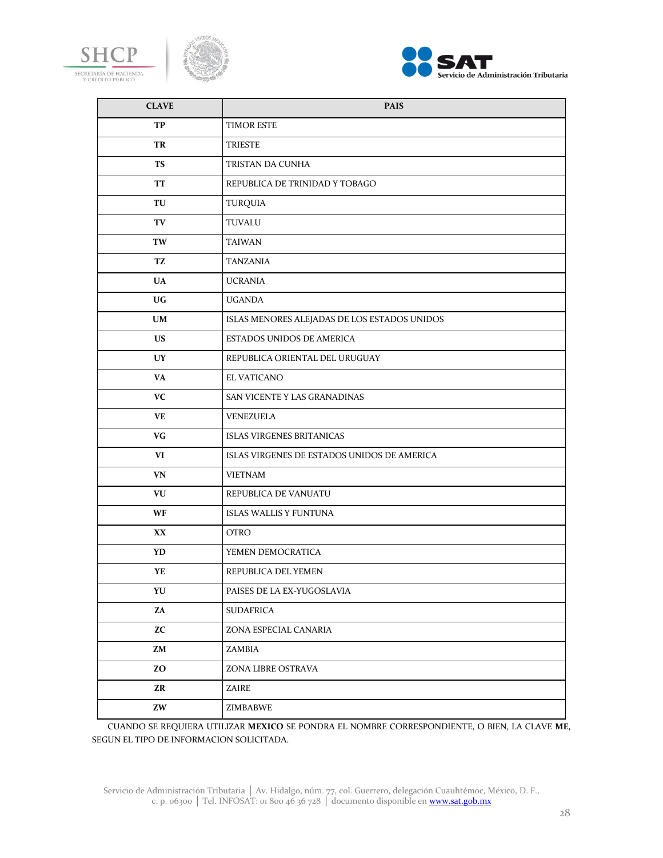





| <b>CLAVE</b> | <b>PAIS</b>                                  |
|--------------|----------------------------------------------|
| TP           | TIMOR ESTE                                   |
| TR           | TRIESTE                                      |
| <b>TS</b>    | TRISTAN DA CUNHA                             |
| <b>TT</b>    | REPUBLICA DE TRINIDAD Y TOBAGO               |
| TU           | <b>TURQUIA</b>                               |
| TV           | TUVALU                                       |
| TW           | <b>TAIWAN</b>                                |
| TZ           | TANZANIA                                     |
| <b>UA</b>    | <b>UCRANIA</b>                               |
| UG.          | <b>UGANDA</b>                                |
| <b>UM</b>    | ISLAS MENORES ALEJADAS DE LOS ESTADOS UNIDOS |
| US.          | <b>ESTADOS UNIDOS DE AMERICA</b>             |
| UY           | REPUBLICA ORIENTAL DEL URUGUAY               |
| VA           | EL VATICANO                                  |
| VC           | SAN VICENTE Y LAS GRANADINAS                 |
| VE           | VENEZUELA                                    |
| VG           | <b>ISLAS VIRGENES BRITANICAS</b>             |
| VI           | ISLAS VIRGENES DE ESTADOS UNIDOS DE AMERICA  |
| VN           | <b>VIETNAM</b>                               |
| VU           | REPUBLICA DE VANUATU                         |
| WF           | <b>ISLAS WALLIS Y FUNTUNA</b>                |
| XX.          | <b>OTRO</b>                                  |
| YD.          | YEMEN DEMOCRATICA                            |
| YE           | REPUBLICA DEL YEMEN                          |
| YU           | PAISES DE LA EX-YUGOSLAVIA                   |
| ZA           | <b>SUDAFRICA</b>                             |
| <b>ZC</b>    | ZONA ESPECIAL CANARIA                        |
| ZM           | ZAMBIA                                       |
| ZO           | ZONA LIBRE OSTRAVA                           |
| ZR           | ZAIRE                                        |
| ZW           | ZIMBABWE                                     |

CUANDO SE REQUIERA UTILIZAR **MEXICO** SE PONDRA EL NOMBRE CORRESPONDIENTE, O BIEN, LA CLAVE **ME**, SEGUN EL TIPO DE INFORMACION SOLICITADA.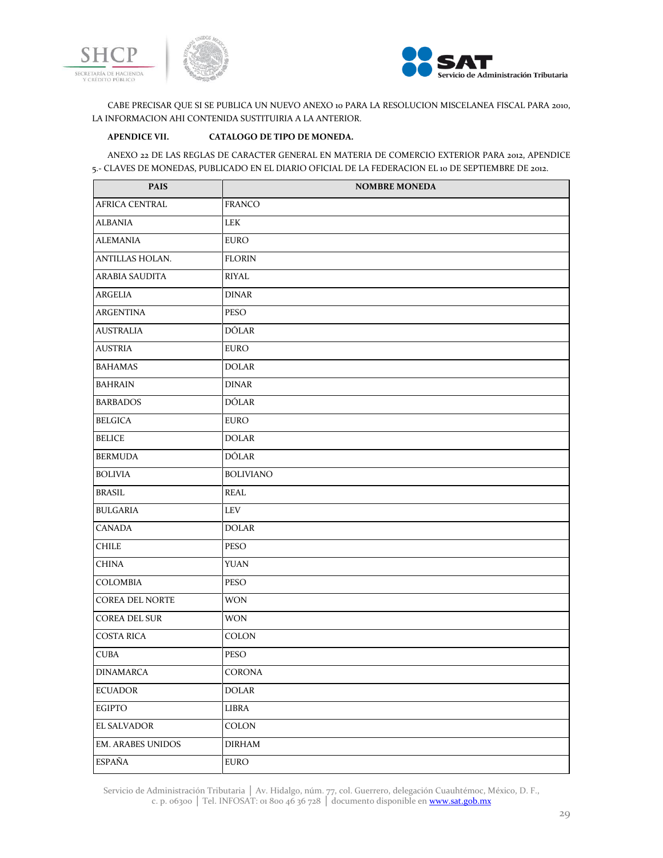



CABE PRECISAR QUE SI SE PUBLICA UN NUEVO ANEXO 10 PARA LA RESOLUCION MISCELANEA FISCAL PARA 2010, LA INFORMACION AHI CONTENIDA SUSTITUIRIA A LA ANTERIOR.

# **APENDICE VII. CATALOGO DE TIPO DE MONEDA.**

ANEXO 22 DE LAS REGLAS DE CARACTER GENERAL EN MATERIA DE COMERCIO EXTERIOR PARA 2012, APENDICE 5.- CLAVES DE MONEDAS, PUBLICADO EN EL DIARIO OFICIAL DE LA FEDERACION EL 10 DE SEPTIEMBRE DE 2012.

| <b>PAIS</b>              | <b>NOMBRE MONEDA</b> |
|--------------------------|----------------------|
| AFRICA CENTRAL           | FRANCO               |
| <b>ALBANIA</b>           | LEK                  |
| <b>ALEMANIA</b>          | <b>EURO</b>          |
| ANTILLAS HOLAN.          | <b>FLORIN</b>        |
| ARABIA SAUDITA           | <b>RIYAL</b>         |
| <b>ARGELIA</b>           | <b>DINAR</b>         |
| <b>ARGENTINA</b>         | <b>PESO</b>          |
| <b>AUSTRALIA</b>         | <b>DÓLAR</b>         |
| <b>AUSTRIA</b>           | EURO                 |
| <b>BAHAMAS</b>           | <b>DOLAR</b>         |
| <b>BAHRAIN</b>           | <b>DINAR</b>         |
| <b>BARBADOS</b>          | DÓLAR                |
| <b>BELGICA</b>           | <b>EURO</b>          |
| <b>BELICE</b>            | <b>DOLAR</b>         |
| <b>BERMUDA</b>           | DÓLAR                |
| <b>BOLIVIA</b>           | <b>BOLIVIANO</b>     |
| <b>BRASIL</b>            | <b>REAL</b>          |
| <b>BULGARIA</b>          | <b>LEV</b>           |
| CANADA                   | <b>DOLAR</b>         |
| <b>CHILE</b>             | <b>PESO</b>          |
| <b>CHINA</b>             | <b>YUAN</b>          |
| COLOMBIA                 | <b>PESO</b>          |
| <b>COREA DEL NORTE</b>   | <b>WON</b>           |
| <b>COREA DEL SUR</b>     | <b>WON</b>           |
| <b>COSTA RICA</b>        | <b>COLON</b>         |
| <b>CUBA</b>              | <b>PESO</b>          |
| <b>DINAMARCA</b>         | CORONA               |
| <b>ECUADOR</b>           | <b>DOLAR</b>         |
| <b>EGIPTO</b>            | LIBRA                |
| <b>EL SALVADOR</b>       | COLON                |
| <b>EM. ARABES UNIDOS</b> | <b>DIRHAM</b>        |
| <b>ESPAÑA</b>            | <b>EURO</b>          |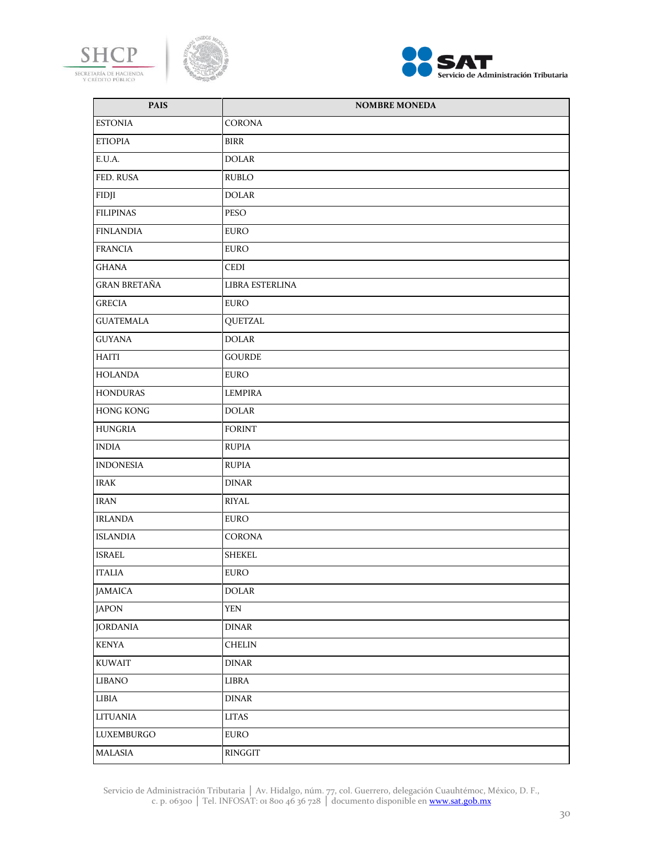





| <b>PAIS</b>         | <b>NOMBRE MONEDA</b> |
|---------------------|----------------------|
| <b>ESTONIA</b>      | CORONA               |
| <b>ETIOPIA</b>      | <b>BIRR</b>          |
| E.U.A.              | <b>DOLAR</b>         |
| FED. RUSA           | <b>RUBLO</b>         |
| FIDJI               | <b>DOLAR</b>         |
| <b>FILIPINAS</b>    | PESO                 |
| <b>FINLANDIA</b>    | <b>EURO</b>          |
| <b>FRANCIA</b>      | <b>EURO</b>          |
| GHANA               | <b>CEDI</b>          |
| <b>GRAN BRETAÑA</b> | LIBRA ESTERLINA      |
| <b>GRECIA</b>       | <b>EURO</b>          |
| <b>GUATEMALA</b>    | <b>QUETZAL</b>       |
| <b>GUYANA</b>       | <b>DOLAR</b>         |
| HAITI               | <b>GOURDE</b>        |
| <b>HOLANDA</b>      | <b>EURO</b>          |
| <b>HONDURAS</b>     | LEMPIRA              |
| <b>HONG KONG</b>    | <b>DOLAR</b>         |
| <b>HUNGRIA</b>      | <b>FORINT</b>        |
| <b>INDIA</b>        | <b>RUPIA</b>         |
| <b>INDONESIA</b>    | <b>RUPIA</b>         |
| <b>IRAK</b>         | <b>DINAR</b>         |
| <b>IRAN</b>         | RIYAL                |
| <b>IRLANDA</b>      | <b>EURO</b>          |
| <b>ISLANDIA</b>     | CORONA               |
| <b>ISRAEL</b>       | <b>SHEKEL</b>        |
| <b>ITALIA</b>       | <b>EURO</b>          |
| <b>JAMAICA</b>      | <b>DOLAR</b>         |
| <b>JAPON</b>        | <b>YEN</b>           |
| <b>JORDANIA</b>     | <b>DINAR</b>         |
| <b>KENYA</b>        | <b>CHELIN</b>        |
| <b>KUWAIT</b>       | <b>DINAR</b>         |
| <b>LIBANO</b>       | LIBRA                |
| LIBIA               | <b>DINAR</b>         |
| LITUANIA            | <b>LITAS</b>         |
| LUXEMBURGO          | <b>EURO</b>          |
| MALASIA             | RINGGIT              |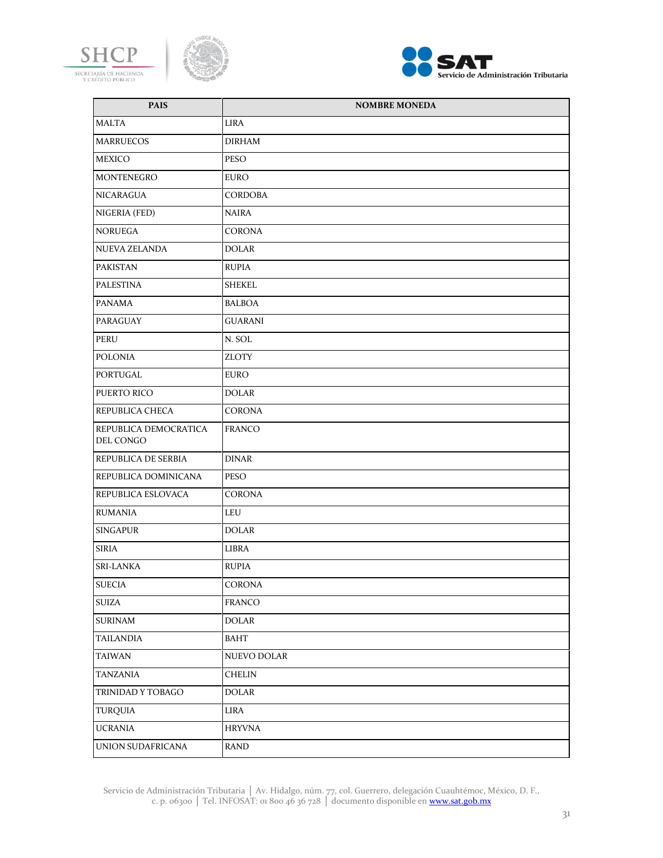





| <b>PAIS</b>                        | <b>NOMBRE MONEDA</b> |
|------------------------------------|----------------------|
| <b>MALTA</b>                       | LIRA                 |
| <b>MARRUECOS</b>                   | DIRHAM               |
| MEXICO                             | PESO                 |
| MONTENEGRO                         | EURO                 |
| NICARAGUA                          | CORDOBA              |
| NIGERIA (FED)                      | <b>NAIRA</b>         |
| <b>NORUEGA</b>                     | <b>CORONA</b>        |
| <b>NUEVA ZELANDA</b>               | <b>DOLAR</b>         |
| PAKISTAN                           | <b>RUPIA</b>         |
| <b>PALESTINA</b>                   | <b>SHEKEL</b>        |
| <b>PANAMA</b>                      | <b>BALBOA</b>        |
| <b>PARAGUAY</b>                    | <b>GUARANI</b>       |
| PERU                               | N. SOL               |
| <b>POLONIA</b>                     | <b>ZLOTY</b>         |
| PORTUGAL                           | EURO                 |
| PUERTO RICO                        | <b>DOLAR</b>         |
| REPUBLICA CHECA                    | <b>CORONA</b>        |
| REPUBLICA DEMOCRATICA<br>DEL CONGO | <b>FRANCO</b>        |
| REPUBLICA DE SERBIA                | <b>DINAR</b>         |
| REPUBLICA DOMINICANA               | <b>PESO</b>          |
| REPUBLICA ESLOVACA                 | CORONA               |
| <b>RUMANIA</b>                     | LEU                  |
| <b>SINGAPUR</b>                    | <b>DOLAR</b>         |
| <b>SIRIA</b>                       | LIBRA                |
| <b>SRI-LANKA</b>                   | <b>RUPIA</b>         |
| <b>SUECIA</b>                      | CORONA               |
| <b>SUIZA</b>                       | FRANCO               |
| <b>SURINAM</b>                     | DOLAR                |
| <b>TAILANDIA</b>                   | BAHT                 |
| <b>TAIWAN</b>                      | NUEVO DOLAR          |
| TANZANIA                           | CHELIN               |
| TRINIDAD Y TOBAGO                  | DOLAR                |
| TURQUIA                            | LIRA                 |
| <b>UCRANIA</b>                     | <b>HRYVNA</b>        |
| UNION SUDAFRICANA                  | RAND                 |